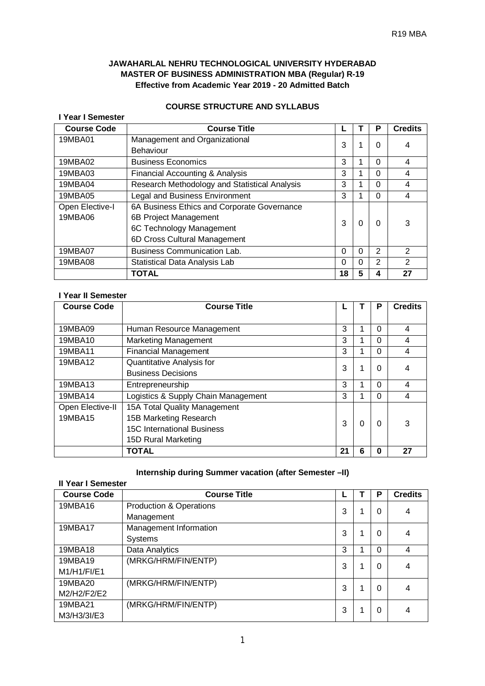# **JAWAHARLAL NEHRU TECHNOLOGICAL UNIVERSITY HYDERABAD MASTER OF BUSINESS ADMINISTRATION MBA (Regular) R-19 Effective from Academic Year 2019 - 20 Admitted Batch**

# **COURSE STRUCTURE AND SYLLABUS**

#### **I Year I Semester**

| <b>Course Code</b> | <b>Course Title</b>                           |          |          | Р        | <b>Credits</b> |
|--------------------|-----------------------------------------------|----------|----------|----------|----------------|
| 19MBA01            | Management and Organizational                 | 3        |          | 0        | 4              |
|                    | <b>Behaviour</b>                              |          |          |          |                |
| 19MBA02            | <b>Business Economics</b>                     | 3        |          | $\Omega$ | 4              |
| 19MBA03            | Financial Accounting & Analysis               | 3        |          | $\Omega$ | 4              |
| 19MBA04            | Research Methodology and Statistical Analysis | 3        |          | $\Omega$ | 4              |
| 19MBA05            | Legal and Business Environment                | 3        |          | $\Omega$ | 4              |
| Open Elective-I    | 6A Business Ethics and Corporate Governance   |          |          |          |                |
| 19MBA06            | 6B Project Management                         | 3        | O        | 0        | 3              |
|                    | 6C Technology Management                      |          |          |          |                |
|                    | 6D Cross Cultural Management                  |          |          |          |                |
| 19MBA07            | <b>Business Communication Lab.</b>            | $\Omega$ | $\Omega$ | 2        | 2              |
| 19MBA08            | Statistical Data Analysis Lab                 | 0        | 0        | 2        | 2              |
|                    | TOTAL                                         | 18       | 5        | 4        | 27             |

#### **I Year II Semester**

| <b>Course Code</b> | <b>Course Title</b>                 |    |   | Р        | <b>Credits</b> |
|--------------------|-------------------------------------|----|---|----------|----------------|
|                    |                                     |    |   |          |                |
| 19MBA09            | Human Resource Management           | 3  |   | $\Omega$ | 4              |
| 19MBA10            | <b>Marketing Management</b>         | 3  |   | 0        | 4              |
| 19MBA11            | <b>Financial Management</b>         | 3  |   | 0        |                |
| 19MBA12            | Quantitative Analysis for           | 3  |   | 0        |                |
|                    | <b>Business Decisions</b>           |    |   |          |                |
| 19MBA13            | Entrepreneurship                    | 3  |   | $\Omega$ | 4              |
| 19MBA14            | Logistics & Supply Chain Management | 3  |   | 0        |                |
| Open Elective-II   | 15A Total Quality Management        |    |   |          |                |
| 19MBA15            | 15B Marketing Research              | 3  | 0 | 0        |                |
|                    | <b>15C International Business</b>   |    |   |          |                |
|                    | 15D Rural Marketing                 |    |   |          |                |
|                    | <b>TOTAL</b>                        | 21 | 6 | O        | 27             |

# **Internship during Summer vacation (after Semester –II)**

# **II Year I Semester**

| <b>Course Code</b> | <b>Course Title</b>                |   | P        | <b>Credits</b> |
|--------------------|------------------------------------|---|----------|----------------|
| 19MBA16            | <b>Production &amp; Operations</b> | 3 | 0        | 4              |
|                    | Management                         |   |          |                |
| 19MBA17            | Management Information             | 3 | 0        | 4              |
|                    | <b>Systems</b>                     |   |          |                |
| 19MBA18            | Data Analytics                     | 3 | $\Omega$ | 4              |
| 19MBA19            | (MRKG/HRM/FIN/ENTP)                | 3 | 0        | 4              |
| M1/H1/FI/E1        |                                    |   |          |                |
| 19MBA20            | (MRKG/HRM/FIN/ENTP)                | 3 | 0        | 4              |
| M2/H2/F2/E2        |                                    |   |          |                |
| 19MBA21            | (MRKG/HRM/FIN/ENTP)                | 3 | 0        | 4              |
| M3/H3/3I/E3        |                                    |   |          |                |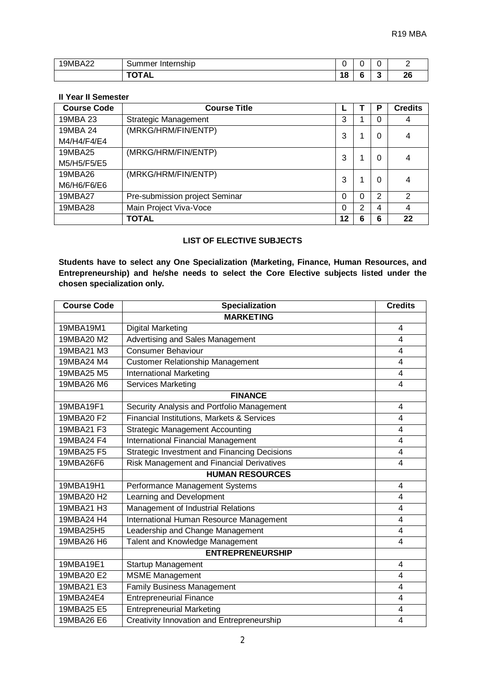| <b>9MBA22</b> | Summer<br><b>Internship</b> | -<br>. . |     | -        |
|---------------|-----------------------------|----------|-----|----------|
|               | ----<br>1 A L               | ה ו<br>O | . . | າເ<br>Zu |

# **II Year II Semester**

| <b>Course Code</b>      | <b>Course Title</b>            |    |   | Р | <b>Credits</b> |
|-------------------------|--------------------------------|----|---|---|----------------|
| 19MBA 23                | <b>Strategic Management</b>    | 3  |   |   | 4              |
| 19MBA 24<br>M4/H4/F4/E4 | (MRKG/HRM/FIN/ENTP)            | 3  |   |   | 4              |
| 19MBA25<br>M5/H5/F5/E5  | (MRKG/HRM/FIN/ENTP)            | 3  |   |   | 4              |
| 19MBA26<br>M6/H6/F6/E6  | (MRKG/HRM/FIN/ENTP)            | 3  |   | 0 | 4              |
| 19MBA27                 | Pre-submission project Seminar | 0  | 0 | 2 | $\mathcal{P}$  |
| 19MBA28                 | Main Project Viva-Voce         |    | 2 | 4 | 4              |
|                         | TOTAL                          | 12 | 6 | 6 | 22             |

# **LIST OF ELECTIVE SUBJECTS**

**Students have to select any One Specialization (Marketing, Finance, Human Resources, and Entrepreneurship) and he/she needs to select the Core Elective subjects listed under the chosen specialization only.**

| <b>Course Code</b> | <b>Specialization</b>                               | <b>Credits</b> |
|--------------------|-----------------------------------------------------|----------------|
|                    | <b>MARKETING</b>                                    |                |
| 19MBA19M1          | <b>Digital Marketing</b>                            | 4              |
| 19MBA20 M2         | Advertising and Sales Management                    | 4              |
| 19MBA21 M3         | <b>Consumer Behaviour</b>                           | 4              |
| 19MBA24 M4         | <b>Customer Relationship Management</b>             | 4              |
| 19MBA25 M5         | <b>International Marketing</b>                      | $\overline{4}$ |
| 19MBA26 M6         | <b>Services Marketing</b>                           | 4              |
|                    | <b>FINANCE</b>                                      |                |
| 19MBA19F1          | Security Analysis and Portfolio Management          | 4              |
| 19MBA20 F2         | Financial Institutions, Markets & Services          | 4              |
| 19MBA21 F3         | <b>Strategic Management Accounting</b>              | $\overline{4}$ |
| 19MBA24 F4         | <b>International Financial Management</b>           | 4              |
| 19MBA25 F5         | <b>Strategic Investment and Financing Decisions</b> | 4              |
| 19MBA26F6          | Risk Management and Financial Derivatives           | 4              |
|                    | <b>HUMAN RESOURCES</b>                              |                |
| 19MBA19H1          | Performance Management Systems                      | 4              |
| 19MBA20 H2         | Learning and Development                            | 4              |
| 19MBA21 H3         | Management of Industrial Relations                  | 4              |
| 19MBA24 H4         | International Human Resource Management             | 4              |
| 19MBA25H5          | Leadership and Change Management                    | 4              |
| 19MBA26 H6         | Talent and Knowledge Management                     | 4              |
|                    | <b>ENTREPRENEURSHIP</b>                             |                |
| 19MBA19E1          | Startup Management                                  | 4              |
| 19MBA20 E2         | <b>MSME</b> Management                              | 4              |
| 19MBA21 E3         | <b>Family Business Management</b>                   | 4              |
| 19MBA24E4          | <b>Entrepreneurial Finance</b>                      | 4              |
| 19MBA25 E5         | <b>Entrepreneurial Marketing</b>                    | 4              |
| 19MBA26 E6         | Creativity Innovation and Entrepreneurship          | 4              |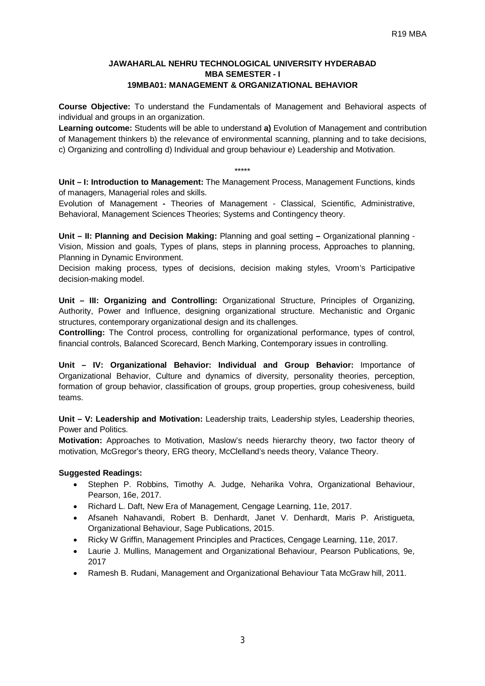# **JAWAHARLAL NEHRU TECHNOLOGICAL UNIVERSITY HYDERABAD MBA SEMESTER - I 19MBA01: MANAGEMENT & ORGANIZATIONAL BEHAVIOR**

**Course Objective:** To understand the Fundamentals of Management and Behavioral aspects of individual and groups in an organization.

**Learning outcome:** Students will be able to understand **a)** Evolution of Management and contribution of Management thinkers b) the relevance of environmental scanning, planning and to take decisions, c) Organizing and controlling d) Individual and group behaviour e) Leadership and Motivation.

\*\*\*\*\*

**Unit – I: Introduction to Management:** The Management Process, Management Functions, kinds of managers, Managerial roles and skills.

Evolution of Management **-** Theories of Management - Classical, Scientific, Administrative, Behavioral, Management Sciences Theories; Systems and Contingency theory.

**Unit – II: Planning and Decision Making:** Planning and goal setting **–** Organizational planning - Vision, Mission and goals, Types of plans, steps in planning process, Approaches to planning, Planning in Dynamic Environment.

Decision making process, types of decisions, decision making styles, Vroom's Participative decision-making model.

**Unit – III: Organizing and Controlling:** Organizational Structure, Principles of Organizing, Authority, Power and Influence, designing organizational structure. Mechanistic and Organic structures, contemporary organizational design and its challenges.

**Controlling:** The Control process, controlling for organizational performance, types of control, financial controls, Balanced Scorecard, Bench Marking, Contemporary issues in controlling.

**Unit – IV: Organizational Behavior: Individual and Group Behavior:** Importance of Organizational Behavior, Culture and dynamics of diversity, personality theories, perception, formation of group behavior, classification of groups, group properties, group cohesiveness, build teams.

**Unit – V: Leadership and Motivation:** Leadership traits, Leadership styles, Leadership theories, Power and Politics.

**Motivation:** Approaches to Motivation, Maslow's needs hierarchy theory, two factor theory of motivation, McGregor's theory, ERG theory, McClelland's needs theory, Valance Theory.

- Stephen P. Robbins, Timothy A. Judge, Neharika Vohra, Organizational Behaviour, Pearson, 16e, 2017.
- Richard L. Daft, New Era of Management, Cengage Learning, 11e, 2017.
- Afsaneh Nahavandi, Robert B. Denhardt, Janet V. Denhardt, Maris P. Aristigueta, Organizational Behaviour, Sage Publications, 2015.
- Ricky W Griffin, Management Principles and Practices, Cengage Learning, 11e, 2017.
- Laurie J. Mullins, Management and Organizational Behaviour, Pearson Publications, 9e, 2017
- Ramesh B. Rudani, Management and Organizational Behaviour Tata McGraw hill, 2011.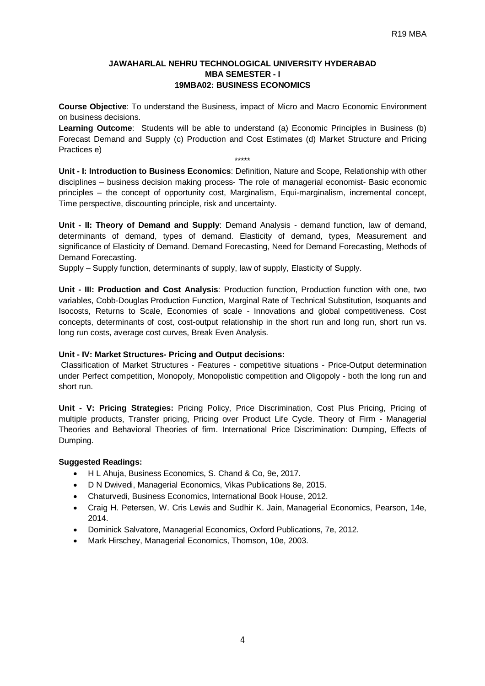# **JAWAHARLAL NEHRU TECHNOLOGICAL UNIVERSITY HYDERABAD MBA SEMESTER - I 19MBA02: BUSINESS ECONOMICS**

**Course Objective**: To understand the Business, impact of Micro and Macro Economic Environment on business decisions.

**Learning Outcome**: Students will be able to understand (a) Economic Principles in Business (b) Forecast Demand and Supply (c) Production and Cost Estimates (d) Market Structure and Pricing Practices e)

\*\*\*\*\* **Unit - I: Introduction to Business Economics**: Definition, Nature and Scope, Relationship with other disciplines – business decision making process- The role of managerial economist- Basic economic principles – the concept of opportunity cost, Marginalism, Equi-marginalism, incremental concept, Time perspective, discounting principle, risk and uncertainty.

**Unit - II: Theory of Demand and Supply**: Demand Analysis - demand function, law of demand, determinants of demand, types of demand. Elasticity of demand, types, Measurement and significance of Elasticity of Demand. Demand Forecasting, Need for Demand Forecasting, Methods of Demand Forecasting.

Supply – Supply function, determinants of supply, law of supply, Elasticity of Supply.

**Unit - III: Production and Cost Analysis**: Production function, Production function with one, two variables, Cobb-Douglas Production Function, Marginal Rate of Technical Substitution, Isoquants and Isocosts, Returns to Scale, Economies of scale - Innovations and global competitiveness. Cost concepts, determinants of cost, cost-output relationship in the short run and long run, short run vs. long run costs, average cost curves, Break Even Analysis.

#### **Unit - IV: Market Structures- Pricing and Output decisions:**

Classification of Market Structures - Features - competitive situations - Price-Output determination under Perfect competition, Monopoly, Monopolistic competition and Oligopoly - both the long run and short run.

**Unit - V: Pricing Strategies:** Pricing Policy, Price Discrimination, Cost Plus Pricing, Pricing of multiple products, Transfer pricing, Pricing over Product Life Cycle. Theory of Firm - Managerial Theories and Behavioral Theories of firm. International Price Discrimination: Dumping, Effects of Dumping.

- H L Ahuja, Business Economics, S. Chand & Co, 9e, 2017.
- D N Dwivedi, Managerial Economics, Vikas Publications 8e, 2015.
- Chaturvedi, Business Economics, International Book House, 2012.
- Craig H. Petersen, W. Cris Lewis and Sudhir K. Jain, Managerial Economics, Pearson, 14e, 2014.
- Dominick Salvatore, Managerial Economics, Oxford Publications, 7e, 2012.
- Mark Hirschey, Managerial Economics, Thomson, 10e, 2003.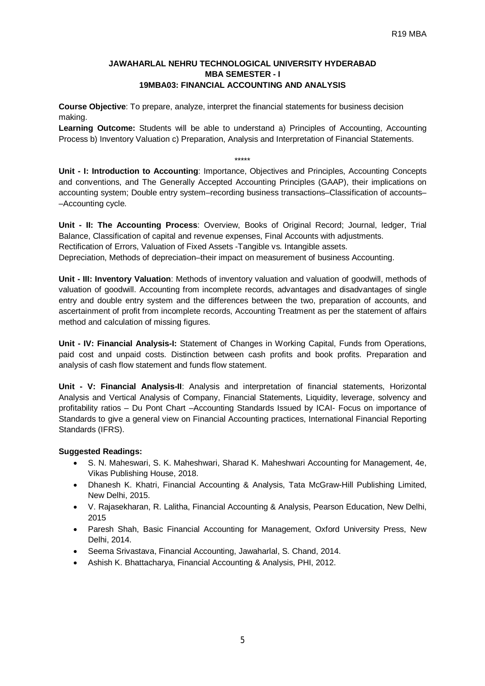#### **JAWAHARLAL NEHRU TECHNOLOGICAL UNIVERSITY HYDERABAD MBA SEMESTER - I 19MBA03: FINANCIAL ACCOUNTING AND ANALYSIS**

**Course Objective**: To prepare, analyze, interpret the financial statements for business decision making.

**Learning Outcome:** Students will be able to understand a) Principles of Accounting, Accounting Process b) Inventory Valuation c) Preparation, Analysis and Interpretation of Financial Statements.

\*\*\*\*\* **Unit - I: Introduction to Accounting**: Importance, Objectives and Principles, Accounting Concepts and conventions, and The Generally Accepted Accounting Principles (GAAP), their implications on accounting system; Double entry system–recording business transactions–Classification of accounts– –Accounting cycle.

**Unit - II: The Accounting Process**: Overview, Books of Original Record; Journal, ledger, Trial Balance, Classification of capital and revenue expenses, Final Accounts with adjustments. Rectification of Errors, Valuation of Fixed Assets -Tangible vs. Intangible assets. Depreciation, Methods of depreciation–their impact on measurement of business Accounting.

**Unit - III: Inventory Valuation**: Methods of inventory valuation and valuation of goodwill, methods of valuation of goodwill. Accounting from incomplete records, advantages and disadvantages of single entry and double entry system and the differences between the two, preparation of accounts, and ascertainment of profit from incomplete records, Accounting Treatment as per the statement of affairs method and calculation of missing figures.

**Unit - IV: Financial Analysis-I:** Statement of Changes in Working Capital, Funds from Operations, paid cost and unpaid costs. Distinction between cash profits and book profits. Preparation and analysis of cash flow statement and funds flow statement.

**Unit - V: Financial Analysis-II**: Analysis and interpretation of financial statements, Horizontal Analysis and Vertical Analysis of Company, Financial Statements, Liquidity, leverage, solvency and profitability ratios – Du Pont Chart –Accounting Standards Issued by ICAI- Focus on importance of Standards to give a general view on Financial Accounting practices, International Financial Reporting Standards (IFRS).

- S. N. Maheswari, S. K. Maheshwari, Sharad K. Maheshwari Accounting for Management, 4e, Vikas Publishing House, 2018.
- Dhanesh K. Khatri, Financial Accounting & Analysis, Tata McGraw-Hill Publishing Limited, New Delhi, 2015.
- V. Rajasekharan, R. Lalitha, Financial Accounting & Analysis, Pearson Education, New Delhi, 2015
- Paresh Shah, Basic Financial Accounting for Management, Oxford University Press, New Delhi, 2014.
- Seema Srivastava, Financial Accounting, Jawaharlal, S. Chand, 2014.
- Ashish K. Bhattacharya, Financial Accounting & Analysis, PHI, 2012.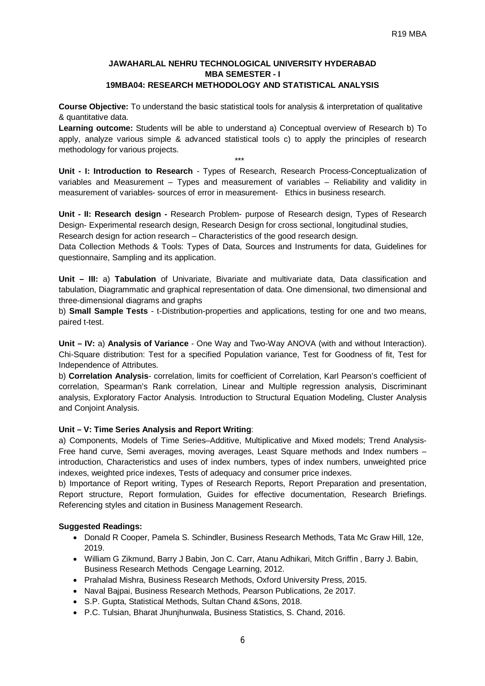# **JAWAHARLAL NEHRU TECHNOLOGICAL UNIVERSITY HYDERABAD MBA SEMESTER - I 19MBA04: RESEARCH METHODOLOGY AND STATISTICAL ANALYSIS**

**Course Objective:** To understand the basic statistical tools for analysis & interpretation of qualitative & quantitative data.

**Learning outcome:** Students will be able to understand a) Conceptual overview of Research b) To apply, analyze various simple & advanced statistical tools c) to apply the principles of research methodology for various projects.

\*\*\*

**Unit - I: Introduction to Research** - Types of Research, Research Process-Conceptualization of variables and Measurement – Types and measurement of variables – Reliability and validity in measurement of variables- sources of error in measurement- Ethics in business research.

**Unit - II: Research design -** Research Problem- purpose of Research design, Types of Research Design- Experimental research design, Research Design for cross sectional, longitudinal studies,

Research design for action research – Characteristics of the good research design.

Data Collection Methods & Tools: Types of Data, Sources and Instruments for data, Guidelines for questionnaire, Sampling and its application.

**Unit – III:** a) **Tabulation** of Univariate, Bivariate and multivariate data, Data classification and tabulation, Diagrammatic and graphical representation of data. One dimensional, two dimensional and three-dimensional diagrams and graphs

b) **Small Sample Tests** - t-Distribution-properties and applications, testing for one and two means, paired t-test.

**Unit – IV:** a) **Analysis of Variance** - One Way and Two-Way ANOVA (with and without Interaction). Chi-Square distribution: Test for a specified Population variance, Test for Goodness of fit, Test for Independence of Attributes.

b) **Correlation Analysis**- correlation, limits for coefficient of Correlation, Karl Pearson's coefficient of correlation, Spearman's Rank correlation, Linear and Multiple regression analysis, Discriminant analysis, Exploratory Factor Analysis. Introduction to Structural Equation Modeling, Cluster Analysis and Conjoint Analysis.

#### **Unit – V: Time Series Analysis and Report Writing**:

a) Components, Models of Time Series–Additive, Multiplicative and Mixed models; Trend Analysis-Free hand curve, Semi averages, moving averages, Least Square methods and Index numbers – introduction, Characteristics and uses of index numbers, types of index numbers, unweighted price indexes, weighted price indexes, Tests of adequacy and consumer price indexes.

b) Importance of Report writing, Types of Research Reports, Report Preparation and presentation, Report structure, Report formulation, Guides for effective documentation, Research Briefings. Referencing styles and citation in Business Management Research.

- Donald R Cooper, Pamela S. Schindler, Business Research Methods, Tata Mc Graw Hill, 12e, 2019.
- William G Zikmund, Barry J Babin, Jon C. Carr, Atanu Adhikari, Mitch Griffin , Barry J. Babin, Business Research Methods Cengage Learning, 2012.
- Prahalad Mishra, Business Research Methods, Oxford University Press, 2015.
- Naval Bajpai, Business Research Methods, Pearson Publications, 2e 2017.
- S.P. Gupta, Statistical Methods, Sultan Chand &Sons, 2018.
- P.C. Tulsian, Bharat Jhunjhunwala, Business Statistics, S. Chand, 2016.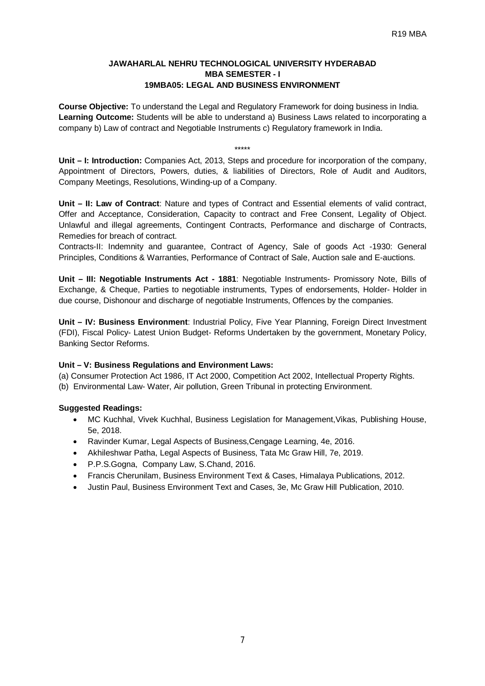#### **JAWAHARLAL NEHRU TECHNOLOGICAL UNIVERSITY HYDERABAD MBA SEMESTER - I 19MBA05: LEGAL AND BUSINESS ENVIRONMENT**

**Course Objective:** To understand the Legal and Regulatory Framework for doing business in India. **Learning Outcome:** Students will be able to understand a) Business Laws related to incorporating a company b) Law of contract and Negotiable Instruments c) Regulatory framework in India.

\*\*\*\*\*

**Unit – I: Introduction:** Companies Act, 2013, Steps and procedure for incorporation of the company, Appointment of Directors, Powers, duties, & liabilities of Directors, Role of Audit and Auditors, Company Meetings, Resolutions, Winding-up of a Company.

**Unit – II: Law of Contract**: Nature and types of Contract and Essential elements of valid contract, Offer and Acceptance, Consideration, Capacity to contract and Free Consent, Legality of Object. Unlawful and illegal agreements, Contingent Contracts, Performance and discharge of Contracts, Remedies for breach of contract.

Contracts-II: Indemnity and guarantee, Contract of Agency, Sale of goods Act -1930: General Principles, Conditions & Warranties, Performance of Contract of Sale, Auction sale and E-auctions.

**Unit – III: Negotiable Instruments Act - 1881**: Negotiable Instruments- Promissory Note, Bills of Exchange, & Cheque, Parties to negotiable instruments, Types of endorsements, Holder- Holder in due course, Dishonour and discharge of negotiable Instruments, Offences by the companies.

**Unit – IV: Business Environment**: Industrial Policy, Five Year Planning, Foreign Direct Investment (FDI), Fiscal Policy- Latest Union Budget- Reforms Undertaken by the government, Monetary Policy, Banking Sector Reforms.

# **Unit – V: Business Regulations and Environment Laws:**

(a) Consumer Protection Act 1986, IT Act 2000, Competition Act 2002, Intellectual Property Rights.

(b) Environmental Law- Water, Air pollution, Green Tribunal in protecting Environment.

- MC Kuchhal, Vivek Kuchhal, Business Legislation for Management,Vikas, Publishing House, 5e, 2018.
- Ravinder Kumar, Legal Aspects of Business,Cengage Learning, 4e, 2016.
- Akhileshwar Patha, Legal Aspects of Business, Tata Mc Graw Hill, 7e, 2019.
- P.P.S.Gogna, Company Law, S.Chand, 2016.
- Francis Cherunilam, Business Environment Text & Cases, Himalaya Publications, 2012.
- Justin Paul, Business Environment Text and Cases, 3e, Mc Graw Hill Publication, 2010.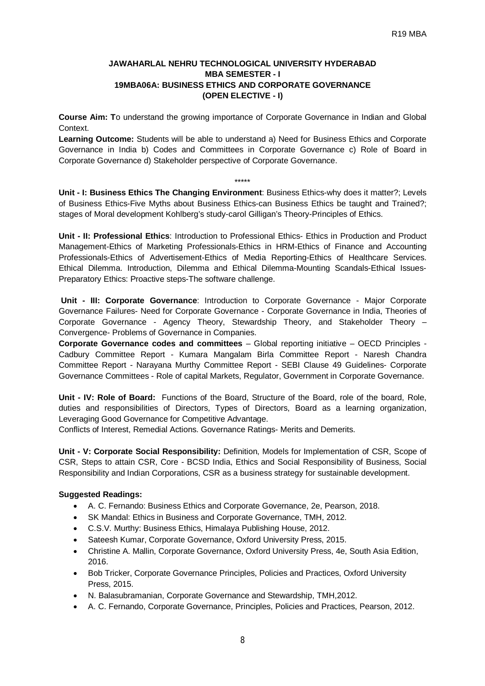# **JAWAHARLAL NEHRU TECHNOLOGICAL UNIVERSITY HYDERABAD MBA SEMESTER - I 19MBA06A: BUSINESS ETHICS AND CORPORATE GOVERNANCE (OPEN ELECTIVE - I)**

**Course Aim: T**o understand the growing importance of Corporate Governance in Indian and Global Context.

**Learning Outcome:** Students will be able to understand a) Need for Business Ethics and Corporate Governance in India b) Codes and Committees in Corporate Governance c) Role of Board in Corporate Governance d) Stakeholder perspective of Corporate Governance.

**Unit - I: Business Ethics The Changing Environment**: Business Ethics-why does it matter?; Levels of Business Ethics-Five Myths about Business Ethics-can Business Ethics be taught and Trained?; stages of Moral development Kohlberg's study-carol Gilligan's Theory-Principles of Ethics.

\*\*\*\*\*

**Unit - II: Professional Ethics**: Introduction to Professional Ethics- Ethics in Production and Product Management-Ethics of Marketing Professionals-Ethics in HRM-Ethics of Finance and Accounting Professionals-Ethics of Advertisement-Ethics of Media Reporting-Ethics of Healthcare Services. Ethical Dilemma. Introduction, Dilemma and Ethical Dilemma-Mounting Scandals-Ethical Issues-Preparatory Ethics: Proactive steps-The software challenge.

**Unit - III: Corporate Governance**: Introduction to Corporate Governance - Major Corporate Governance Failures- Need for Corporate Governance - Corporate Governance in India, Theories of Corporate Governance - Agency Theory, Stewardship Theory, and Stakeholder Theory – Convergence- Problems of Governance in Companies.

**Corporate Governance codes and committees** – Global reporting initiative – OECD Principles - Cadbury Committee Report - Kumara Mangalam Birla Committee Report - Naresh Chandra Committee Report - Narayana Murthy Committee Report - SEBI Clause 49 Guidelines- Corporate Governance Committees - Role of capital Markets, Regulator, Government in Corporate Governance.

**Unit - IV: Role of Board:** Functions of the Board, Structure of the Board, role of the board, Role, duties and responsibilities of Directors, Types of Directors, Board as a learning organization, Leveraging Good Governance for Competitive Advantage.

Conflicts of Interest, Remedial Actions. Governance Ratings- Merits and Demerits.

**Unit - V: Corporate Social Responsibility:** Definition, Models for Implementation of CSR, Scope of CSR, Steps to attain CSR, Core - BCSD India, Ethics and Social Responsibility of Business, Social Responsibility and Indian Corporations, CSR as a business strategy for sustainable development.

- A. C. Fernando: Business Ethics and Corporate Governance, 2e, Pearson, 2018.
- SK Mandal: Ethics in Business and Corporate Governance, TMH, 2012.
- C.S.V. Murthy: Business Ethics, Himalaya Publishing House, 2012.
- Sateesh Kumar, Corporate Governance, Oxford University Press, 2015.
- Christine A. Mallin, Corporate Governance, Oxford University Press, 4e, South Asia Edition, 2016.
- Bob Tricker, Corporate Governance Principles, Policies and Practices, Oxford University Press, 2015.
- N. Balasubramanian, Corporate Governance and Stewardship, TMH,2012.
- A. C. Fernando, Corporate Governance, Principles, Policies and Practices, Pearson, 2012.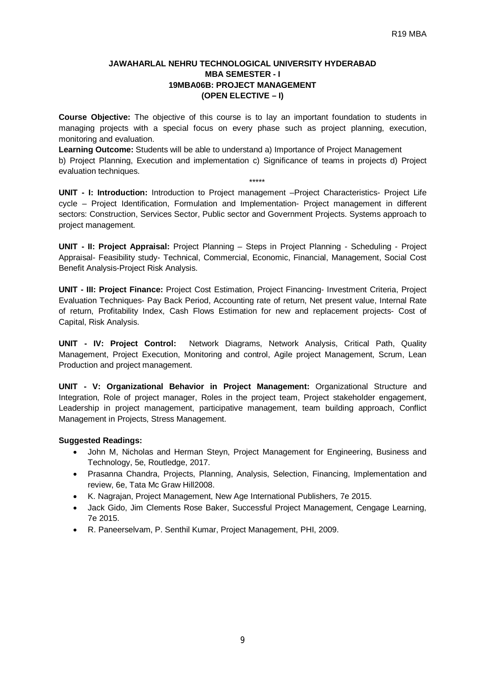#### **JAWAHARLAL NEHRU TECHNOLOGICAL UNIVERSITY HYDERABAD MBA SEMESTER - I 19MBA06B: PROJECT MANAGEMENT (OPEN ELECTIVE – I)**

**Course Objective:** The objective of this course is to lay an important foundation to students in managing projects with a special focus on every phase such as project planning, execution, monitoring and evaluation.

**Learning Outcome:** Students will be able to understand a) Importance of Project Management b) Project Planning, Execution and implementation c) Significance of teams in projects d) Project evaluation techniques.

\*\*\*\*\*

**UNIT - I: Introduction:** Introduction to Project management –Project Characteristics- Project Life cycle – Project Identification, Formulation and Implementation- Project management in different sectors: Construction, Services Sector, Public sector and Government Projects. Systems approach to project management.

**UNIT - II: Project Appraisal:** Project Planning – Steps in Project Planning - Scheduling - Project Appraisal- Feasibility study- Technical, Commercial, Economic, Financial, Management, Social Cost Benefit Analysis-Project Risk Analysis.

**UNIT - III: Project Finance:** Project Cost Estimation, Project Financing- Investment Criteria, Project Evaluation Techniques- Pay Back Period, Accounting rate of return, Net present value, Internal Rate of return, Profitability Index, Cash Flows Estimation for new and replacement projects- Cost of Capital, Risk Analysis.

**UNIT - IV: Project Control:** Network Diagrams, Network Analysis, Critical Path, Quality Management, Project Execution, Monitoring and control, Agile project Management, Scrum, Lean Production and project management.

**UNIT - V: Organizational Behavior in Project Management:** Organizational Structure and Integration, Role of project manager, Roles in the project team, Project stakeholder engagement, Leadership in project management, participative management, team building approach, Conflict Management in Projects, Stress Management.

- John M, Nicholas and Herman Steyn, Project Management for Engineering, Business and Technology, 5e, Routledge, 2017.
- Prasanna Chandra, Projects, Planning, Analysis, Selection, Financing, Implementation and review, 6e, Tata Mc Graw Hill2008.
- K. Nagrajan, Project Management, New Age International Publishers, 7e 2015.
- Jack Gido, Jim Clements Rose Baker, Successful Project Management, Cengage Learning, 7e 2015.
- R. Paneerselvam, P. Senthil Kumar, Project Management, PHI, 2009.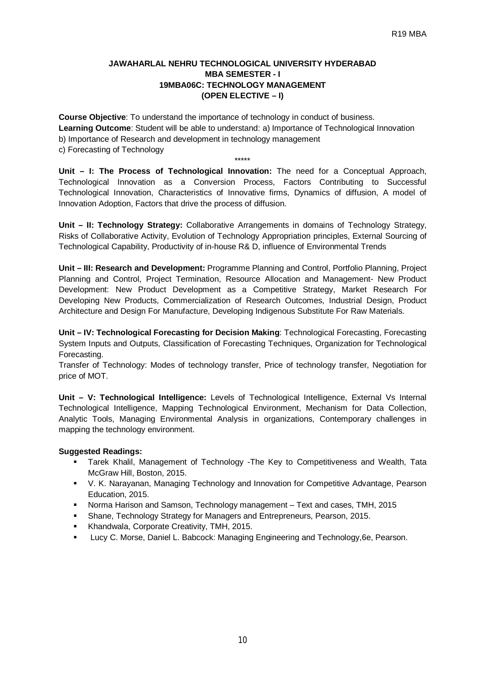#### **JAWAHARLAL NEHRU TECHNOLOGICAL UNIVERSITY HYDERABAD MBA SEMESTER - I 19MBA06C: TECHNOLOGY MANAGEMENT (OPEN ELECTIVE – I)**

**Course Objective**: To understand the importance of technology in conduct of business. **Learning Outcome**: Student will be able to understand: a) Importance of Technological Innovation b) Importance of Research and development in technology management c) Forecasting of Technology

**Unit – I: The Process of Technological Innovation:** The need for a Conceptual Approach, Technological Innovation as a Conversion Process, Factors Contributing to Successful Technological Innovation, Characteristics of Innovative firms, Dynamics of diffusion, A model of Innovation Adoption, Factors that drive the process of diffusion.

\*\*\*\*\*

**Unit – II: Technology Strategy:** Collaborative Arrangements in domains of Technology Strategy, Risks of Collaborative Activity, Evolution of Technology Appropriation principles, External Sourcing of Technological Capability, Productivity of in-house R& D, influence of Environmental Trends

**Unit – III: Research and Development:** Programme Planning and Control, Portfolio Planning, Project Planning and Control, Project Termination, Resource Allocation and Management- New Product Development: New Product Development as a Competitive Strategy, Market Research For Developing New Products, Commercialization of Research Outcomes, Industrial Design, Product Architecture and Design For Manufacture, Developing Indigenous Substitute For Raw Materials.

**Unit – IV: Technological Forecasting for Decision Making**: Technological Forecasting, Forecasting System Inputs and Outputs, Classification of Forecasting Techniques, Organization for Technological Forecasting.

Transfer of Technology: Modes of technology transfer, Price of technology transfer, Negotiation for price of MOT.

**Unit – V: Technological Intelligence:** Levels of Technological Intelligence, External Vs Internal Technological Intelligence, Mapping Technological Environment, Mechanism for Data Collection, Analytic Tools, Managing Environmental Analysis in organizations, Contemporary challenges in mapping the technology environment.

- Tarek Khalil, Management of Technology -The Key to Competitiveness and Wealth, Tata McGraw Hill, Boston, 2015.
- V. K. Narayanan, Managing Technology and Innovation for Competitive Advantage, Pearson Education, 2015.
- Norma Harison and Samson, Technology management Text and cases, TMH, 2015
- Shane, Technology Strategy for Managers and Entrepreneurs, Pearson, 2015.
- **Khandwala, Corporate Creativity, TMH, 2015.**
- Lucy C. Morse, Daniel L. Babcock: Managing Engineering and Technology,6e, Pearson.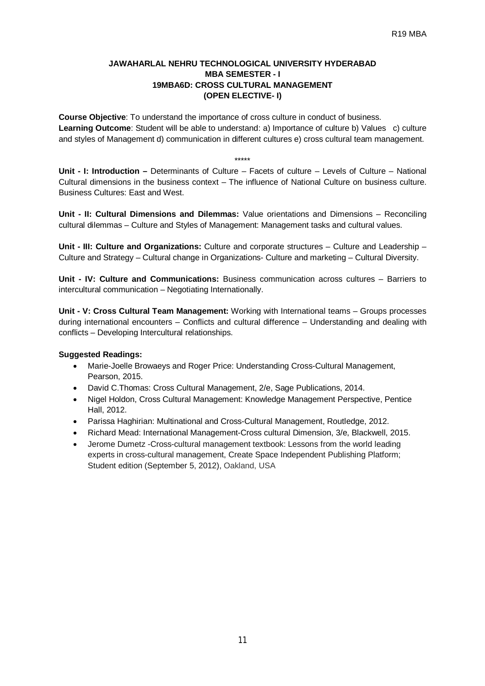#### **JAWAHARLAL NEHRU TECHNOLOGICAL UNIVERSITY HYDERABAD MBA SEMESTER - I 19MBA6D: CROSS CULTURAL MANAGEMENT (OPEN ELECTIVE- I)**

**Course Objective**: To understand the importance of cross culture in conduct of business. **Learning Outcome**: Student will be able to understand: a) Importance of culture b) Values c) culture and styles of Management d) communication in different cultures e) cross cultural team management.

\*\*\*\*\*

**Unit - I: Introduction –** Determinants of Culture – Facets of culture – Levels of Culture – National Cultural dimensions in the business context – The influence of National Culture on business culture. Business Cultures: East and West.

**Unit - II: Cultural Dimensions and Dilemmas:** Value orientations and Dimensions – Reconciling cultural dilemmas – Culture and Styles of Management: Management tasks and cultural values.

**Unit - III: Culture and Organizations:** Culture and corporate structures – Culture and Leadership – Culture and Strategy – Cultural change in Organizations- Culture and marketing – Cultural Diversity.

**Unit - IV: Culture and Communications:** Business communication across cultures – Barriers to intercultural communication – Negotiating Internationally.

**Unit - V: Cross Cultural Team Management:** Working with International teams – Groups processes during international encounters – Conflicts and cultural difference – Understanding and dealing with conflicts – Developing Intercultural relationships.

- Marie-Joelle Browaeys and Roger Price: Understanding Cross-Cultural Management, Pearson, 2015.
- David C.Thomas: Cross Cultural Management, 2/e, Sage Publications, 2014.
- Nigel Holdon, Cross Cultural Management: Knowledge Management Perspective, Pentice Hall, 2012.
- Parissa Haghirian: Multinational and Cross-Cultural Management, Routledge, 2012.
- Richard Mead: International Management-Cross cultural Dimension, 3/e, Blackwell, 2015.
- Jerome Dumetz -Cross-cultural management textbook: Lessons from the world leading experts in cross-cultural management, Create Space Independent Publishing Platform; Student edition (September 5, 2012), Oakland, USA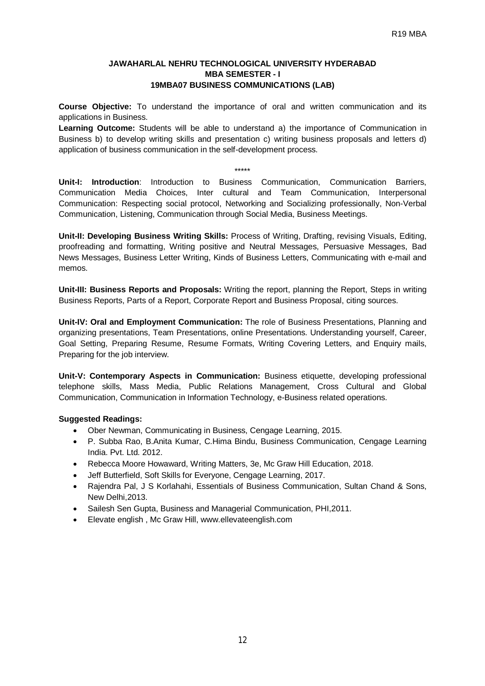#### **JAWAHARLAL NEHRU TECHNOLOGICAL UNIVERSITY HYDERABAD MBA SEMESTER - I 19MBA07 BUSINESS COMMUNICATIONS (LAB)**

**Course Objective:** To understand the importance of oral and written communication and its applications in Business.

**Learning Outcome:** Students will be able to understand a) the importance of Communication in Business b) to develop writing skills and presentation c) writing business proposals and letters d) application of business communication in the self-development process.

#### \*\*\*\*\*

**Unit-I: Introduction**: Introduction to Business Communication, Communication Barriers, Communication Media Choices, Inter cultural and Team Communication, Interpersonal Communication: Respecting social protocol, Networking and Socializing professionally, Non-Verbal Communication, Listening, Communication through Social Media, Business Meetings.

**Unit-II: Developing Business Writing Skills:** Process of Writing, Drafting, revising Visuals, Editing, proofreading and formatting, Writing positive and Neutral Messages, Persuasive Messages, Bad News Messages, Business Letter Writing, Kinds of Business Letters, Communicating with e-mail and memos.

**Unit-III: Business Reports and Proposals:** Writing the report, planning the Report, Steps in writing Business Reports, Parts of a Report, Corporate Report and Business Proposal, citing sources.

**Unit-IV: Oral and Employment Communication:** The role of Business Presentations, Planning and organizing presentations, Team Presentations, online Presentations. Understanding yourself, Career, Goal Setting, Preparing Resume, Resume Formats, Writing Covering Letters, and Enquiry mails, Preparing for the job interview.

**Unit-V: Contemporary Aspects in Communication:** Business etiquette, developing professional telephone skills, Mass Media, Public Relations Management, Cross Cultural and Global Communication, Communication in Information Technology, e-Business related operations.

- Ober Newman, Communicating in Business, Cengage Learning, 2015.
- P. Subba Rao, B.Anita Kumar, C.Hima Bindu, Business Communication, Cengage Learning India. Pvt. Ltd. 2012.
- Rebecca Moore Howaward, Writing Matters, 3e, Mc Graw Hill Education, 2018.
- Jeff Butterfield, Soft Skills for Everyone, Cengage Learning, 2017.
- Rajendra Pal, J S Korlahahi, Essentials of Business Communication, Sultan Chand & Sons, New Delhi,2013.
- Sailesh Sen Gupta, Business and Managerial Communication, PHI,2011.
- Elevate english , Mc Graw Hill, [www.ellevateenglish.com](http://www.ellevateenglish.com)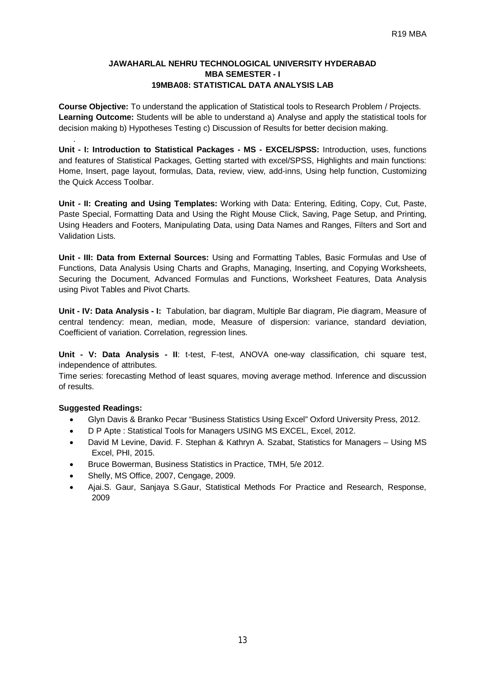# **JAWAHARLAL NEHRU TECHNOLOGICAL UNIVERSITY HYDERABAD MBA SEMESTER - I 19MBA08: STATISTICAL DATA ANALYSIS LAB**

**Course Objective:** To understand the application of Statistical tools to Research Problem / Projects. **Learning Outcome:** Students will be able to understand a) Analyse and apply the statistical tools for decision making b) Hypotheses Testing c) Discussion of Results for better decision making.

**Unit - I: Introduction to Statistical Packages - MS - EXCEL/SPSS:** Introduction, uses, functions and features of Statistical Packages, Getting started with excel/SPSS, Highlights and main functions: Home, Insert, page layout, formulas, Data, review, view, add-inns, Using help function, Customizing the Quick Access Toolbar.

**Unit - II: Creating and Using Templates:** Working with Data: Entering, Editing, Copy, Cut, Paste, Paste Special, Formatting Data and Using the Right Mouse Click, Saving, Page Setup, and Printing, Using Headers and Footers, Manipulating Data, using Data Names and Ranges, Filters and Sort and Validation Lists.

**Unit - III: Data from External Sources:** Using and Formatting Tables, Basic Formulas and Use of Functions, Data Analysis Using Charts and Graphs, Managing, Inserting, and Copying Worksheets, Securing the Document, Advanced Formulas and Functions, Worksheet Features, Data Analysis using Pivot Tables and Pivot Charts.

**Unit - IV: Data Analysis - I:** Tabulation, bar diagram, Multiple Bar diagram, Pie diagram, Measure of central tendency: mean, median, mode, Measure of dispersion: variance, standard deviation, Coefficient of variation. Correlation, regression lines.

**Unit - V: Data Analysis - II**: t-test, F-test, ANOVA one-way classification, chi square test, independence of attributes.

Time series: forecasting Method of least squares, moving average method. Inference and discussion of results.

# **Suggested Readings:**

.

- Glyn Davis & Branko Pecar "Business Statistics Using Excel" Oxford University Press, 2012.
- D P Apte : Statistical Tools for Managers USING MS EXCEL, Excel, 2012.
- David M Levine, David. F. Stephan & Kathryn A. Szabat, Statistics for Managers Using MS Excel, PHI, 2015.
- Bruce Bowerman, Business Statistics in Practice, TMH, 5/e 2012.
- Shelly, MS Office, 2007, Cengage, 2009.
- Ajai.S. Gaur, Sanjaya S.Gaur, Statistical Methods For Practice and Research, Response, 2009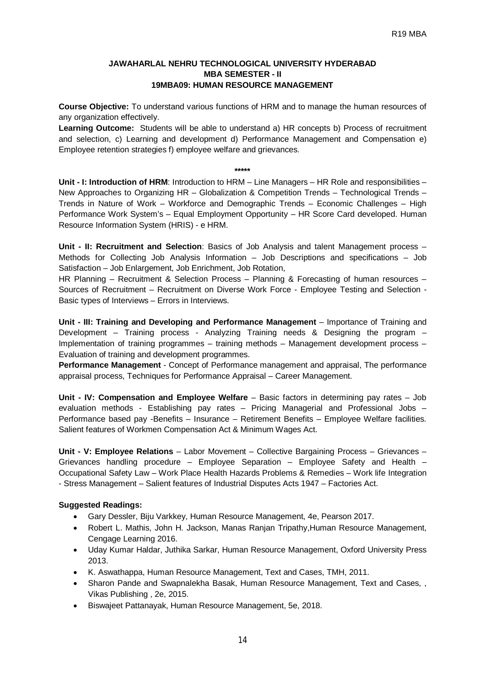#### **JAWAHARLAL NEHRU TECHNOLOGICAL UNIVERSITY HYDERABAD MBA SEMESTER - II 19MBA09: HUMAN RESOURCE MANAGEMENT**

**Course Objective:** To understand various functions of HRM and to manage the human resources of any organization effectively.

**Learning Outcome:** Students will be able to understand a) HR concepts b) Process of recruitment and selection, c) Learning and development d) Performance Management and Compensation e) Employee retention strategies f) employee welfare and grievances.

#### **\*\*\*\*\***

**Unit - I: Introduction of HRM**: Introduction to HRM – Line Managers – HR Role and responsibilities – New Approaches to Organizing HR – Globalization & Competition Trends – Technological Trends – Trends in Nature of Work – Workforce and Demographic Trends – Economic Challenges – High Performance Work System's – Equal Employment Opportunity – HR Score Card developed. Human Resource Information System (HRIS) - e HRM.

**Unit - II: Recruitment and Selection**: Basics of Job Analysis and talent Management process – Methods for Collecting Job Analysis Information – Job Descriptions and specifications – Job Satisfaction – Job Enlargement, Job Enrichment, Job Rotation,

HR Planning – Recruitment & Selection Process – Planning & Forecasting of human resources – Sources of Recruitment – Recruitment on Diverse Work Force - Employee Testing and Selection - Basic types of Interviews – Errors in Interviews.

**Unit - III: Training and Developing and Performance Management** – Importance of Training and Development – Training process - Analyzing Training needs & Designing the program – Implementation of training programmes – training methods – Management development process – Evaluation of training and development programmes.

**Performance Management** - Concept of Performance management and appraisal, The performance appraisal process, Techniques for Performance Appraisal – Career Management.

**Unit - IV: Compensation and Employee Welfare** – Basic factors in determining pay rates – Job evaluation methods - Establishing pay rates – Pricing Managerial and Professional Jobs – Performance based pay -Benefits – Insurance – Retirement Benefits – Employee Welfare facilities. Salient features of Workmen Compensation Act & Minimum Wages Act.

**Unit - V: Employee Relations** – Labor Movement – Collective Bargaining Process – Grievances – Grievances handling procedure – Employee Separation – Employee Safety and Health – Occupational Safety Law – Work Place Health Hazards Problems & Remedies – Work life Integration - Stress Management – Salient features of Industrial Disputes Acts 1947 – Factories Act.

- Gary Dessler, Biju Varkkey, Human Resource Management, 4e, Pearson 2017.
- Robert L. Mathis, John H. Jackson, Manas Ranjan Tripathy,Human Resource Management, Cengage Learning 2016.
- Uday Kumar Haldar, Juthika Sarkar, Human Resource Management, Oxford University Press 2013.
- K. Aswathappa, Human Resource Management, Text and Cases, TMH, 2011.
- Sharon Pande and Swapnalekha Basak, Human Resource Management, Text and Cases, , Vikas Publishing , 2e, 2015.
- Biswajeet Pattanayak, Human Resource Management, 5e, 2018.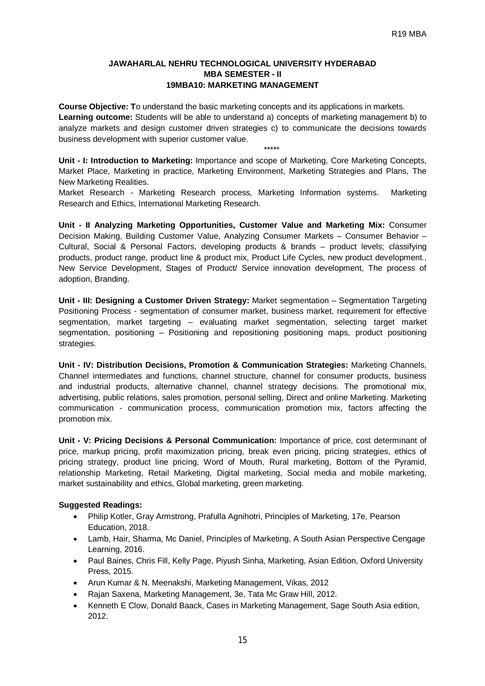# **JAWAHARLAL NEHRU TECHNOLOGICAL UNIVERSITY HYDERABAD MBA SEMESTER - II 19MBA10: MARKETING MANAGEMENT**

**Course Objective: T**o understand the basic marketing concepts and its applications in markets. **Learning outcome:** Students will be able to understand a) concepts of marketing management b) to analyze markets and design customer driven strategies c) to communicate the decisions towards business development with superior customer value. \*\*\*\*\*

**Unit - I: Introduction to Marketing:** Importance and scope of Marketing, Core Marketing Concepts, Market Place, Marketing in practice, Marketing Environment, Marketing Strategies and Plans, The New Marketing Realities.

Market Research - Marketing Research process, Marketing Information systems. Marketing Research and Ethics, International Marketing Research.

**Unit - II Analyzing Marketing Opportunities, Customer Value and Marketing Mix:** Consumer Decision Making, Building Customer Value, Analyzing Consumer Markets – Consumer Behavior – Cultural, Social & Personal Factors, developing products & brands – product levels; classifying products, product range, product line & product mix, Product Life Cycles, new product development., New Service Development, Stages of Product/ Service innovation development, The process of adoption, Branding.

**Unit - III: Designing a Customer Driven Strategy:** Market segmentation – Segmentation Targeting Positioning Process - segmentation of consumer market, business market, requirement for effective segmentation, market targeting – evaluating market segmentation, selecting target market segmentation, positioning – Positioning and repositioning positioning maps, product positioning strategies.

**Unit - IV: Distribution Decisions, Promotion & Communication Strategies:** Marketing Channels, Channel intermediates and functions, channel structure, channel for consumer products, business and industrial products, alternative channel, channel strategy decisions. The promotional mix, advertising, public relations, sales promotion, personal selling, Direct and online Marketing. Marketing communication - communication process, communication promotion mix, factors affecting the promotion mix.

**Unit - V: Pricing Decisions & Personal Communication:** Importance of price, cost determinant of price, markup pricing, profit maximization pricing, break even pricing, pricing strategies, ethics of pricing strategy, product line pricing, Word of Mouth, Rural marketing, Bottom of the Pyramid, relationship Marketing, Retail Marketing, Digital marketing, Social media and mobile marketing, market sustainability and ethics, Global marketing, green marketing.

- Philip Kotler, Gray Armstrong, Prafulla Agnihotri, Principles of Marketing, 17e, Pearson Education, 2018.
- Lamb, Hair, Sharma, Mc Daniel, Principles of Marketing, A South Asian Perspective Cengage Learning, 2016.
- Paul Baines, Chris Fill, Kelly Page, Piyush Sinha, Marketing, Asian Edition, Oxford University Press, 2015.
- Arun Kumar & N. Meenakshi, Marketing Management, Vikas, 2012
- Rajan Saxena, Marketing Management, 3e, Tata Mc Graw Hill, 2012.
- Kenneth E Clow, Donald Baack, Cases in Marketing Management, Sage South Asia edition, 2012.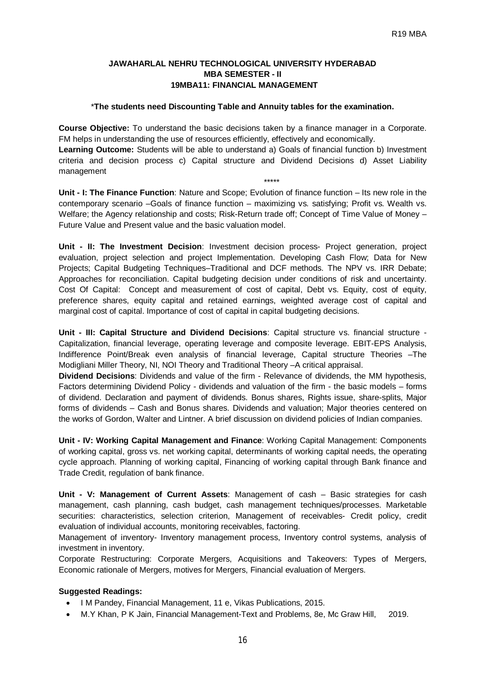#### **JAWAHARLAL NEHRU TECHNOLOGICAL UNIVERSITY HYDERABAD MBA SEMESTER - II 19MBA11: FINANCIAL MANAGEMENT**

#### \***The students need Discounting Table and Annuity tables for the examination.**

**Course Objective:** To understand the basic decisions taken by a finance manager in a Corporate. FM helps in understanding the use of resources efficiently, effectively and economically.

**Learning Outcome:** Students will be able to understand a) Goals of financial function b) Investment criteria and decision process c) Capital structure and Dividend Decisions d) Asset Liability management

\*\*\*\*\*

**Unit - I: The Finance Function**: Nature and Scope; Evolution of finance function – Its new role in the contemporary scenario –Goals of finance function – maximizing vs. satisfying; Profit vs. Wealth vs. Welfare; the Agency relationship and costs; Risk-Return trade off; Concept of Time Value of Money – Future Value and Present value and the basic valuation model.

**Unit - II: The Investment Decision**: Investment decision process- Project generation, project evaluation, project selection and project Implementation. Developing Cash Flow; Data for New Projects; Capital Budgeting Techniques–Traditional and DCF methods. The NPV vs. IRR Debate; Approaches for reconciliation. Capital budgeting decision under conditions of risk and uncertainty. Cost Of Capital: Concept and measurement of cost of capital, Debt vs. Equity, cost of equity, preference shares, equity capital and retained earnings, weighted average cost of capital and marginal cost of capital. Importance of cost of capital in capital budgeting decisions.

**Unit - III: Capital Structure and Dividend Decisions**: Capital structure vs. financial structure - Capitalization, financial leverage, operating leverage and composite leverage. EBIT-EPS Analysis, Indifference Point/Break even analysis of financial leverage, Capital structure Theories –The Modigliani Miller Theory, NI, NOI Theory and Traditional Theory –A critical appraisal.

**Dividend Decisions**: Dividends and value of the firm - Relevance of dividends, the MM hypothesis, Factors determining Dividend Policy - dividends and valuation of the firm - the basic models – forms of dividend. Declaration and payment of dividends. Bonus shares, Rights issue, share-splits, Major forms of dividends – Cash and Bonus shares. Dividends and valuation; Major theories centered on the works of Gordon, Walter and Lintner. A brief discussion on dividend policies of Indian companies.

**Unit - IV: Working Capital Management and Finance**: Working Capital Management: Components of working capital, gross vs. net working capital, determinants of working capital needs, the operating cycle approach. Planning of working capital, Financing of working capital through Bank finance and Trade Credit, regulation of bank finance.

**Unit - V: Management of Current Assets**: Management of cash – Basic strategies for cash management, cash planning, cash budget, cash management techniques/processes. Marketable securities: characteristics, selection criterion, Management of receivables- Credit policy, credit evaluation of individual accounts, monitoring receivables, factoring.

Management of inventory- Inventory management process, Inventory control systems, analysis of investment in inventory.

Corporate Restructuring: Corporate Mergers, Acquisitions and Takeovers: Types of Mergers, Economic rationale of Mergers, motives for Mergers, Financial evaluation of Mergers.

- I M Pandey, Financial Management, 11 e, Vikas Publications, 2015.
- M.Y Khan, P K Jain, Financial Management-Text and Problems, 8e, Mc Graw Hill, 2019.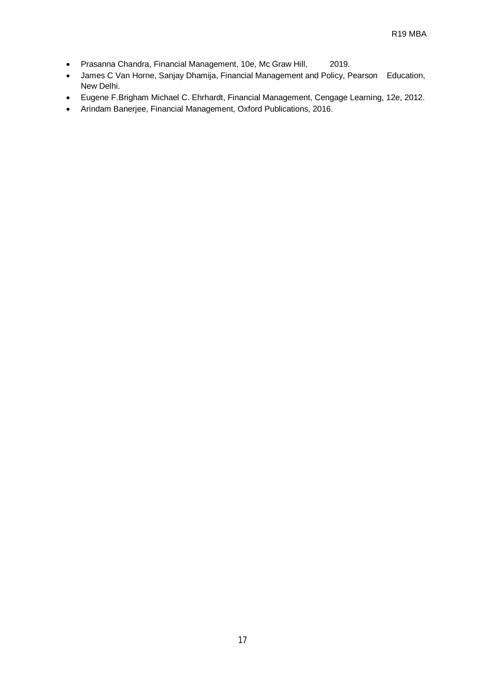- Prasanna Chandra, Financial Management, 10e, Mc Graw Hill, 2019.
- James C Van Horne, Sanjay Dhamija, Financial Management and Policy, Pearson Education, New Delhi.
- Eugene F.Brigham Michael C. Ehrhardt, Financial Management, Cengage Learning, 12e, 2012.
- Arindam Banerjee, Financial Management, Oxford Publications, 2016.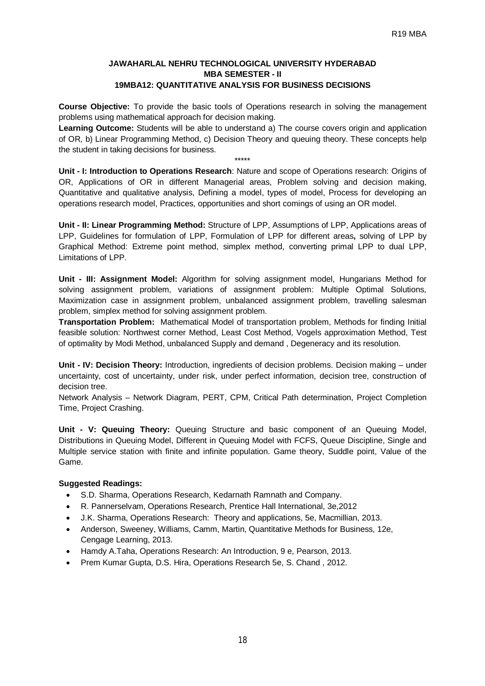# **JAWAHARLAL NEHRU TECHNOLOGICAL UNIVERSITY HYDERABAD MBA SEMESTER - II 19MBA12: QUANTITATIVE ANALYSIS FOR BUSINESS DECISIONS**

**Course Objective:** To provide the basic tools of Operations research in solving the management problems using mathematical approach for decision making.

**Learning Outcome:** Students will be able to understand a) The course covers origin and application of OR, b) Linear Programming Method, c) Decision Theory and queuing theory. These concepts help the student in taking decisions for business.

\*\*\*\*\*

**Unit - I: Introduction to Operations Research**: Nature and scope of Operations research: Origins of OR, Applications of OR in different Managerial areas, Problem solving and decision making, Quantitative and qualitative analysis, Defining a model, types of model, Process for developing an operations research model, Practices, opportunities and short comings of using an OR model.

**Unit - II: Linear Programming Method:** Structure of LPP, Assumptions of LPP, Applications areas of LPP, Guidelines for formulation of LPP, Formulation of LPP for different areas**,** solving of LPP by Graphical Method: Extreme point method, simplex method, converting primal LPP to dual LPP, Limitations of LPP.

**Unit - III: Assignment Model:** Algorithm for solving assignment model, Hungarians Method for solving assignment problem, variations of assignment problem: Multiple Optimal Solutions, Maximization case in assignment problem, unbalanced assignment problem, travelling salesman problem, simplex method for solving assignment problem.

**Transportation Problem:** Mathematical Model of transportation problem, Methods for finding Initial feasible solution: Northwest corner Method, Least Cost Method, Vogels approximation Method, Test of optimality by Modi Method, unbalanced Supply and demand , Degeneracy and its resolution.

**Unit - IV: Decision Theory:** Introduction, ingredients of decision problems. Decision making – under uncertainty, cost of uncertainty, under risk, under perfect information, decision tree, construction of decision tree.

Network Analysis – Network Diagram, PERT, CPM, Critical Path determination, Project Completion Time, Project Crashing.

**Unit - V: Queuing Theory:** Queuing Structure and basic component of an Queuing Model, Distributions in Queuing Model, Different in Queuing Model with FCFS, Queue Discipline, Single and Multiple service station with finite and infinite population. Game theory, Suddle point, Value of the Game.

- S.D. Sharma, Operations Research, Kedarnath Ramnath and Company.
- R. Pannerselvam, Operations Research, Prentice Hall International, 3e,2012
- J.K. Sharma, Operations Research: Theory and applications, 5e, Macmillian, 2013.
- Anderson, Sweeney, Williams, Camm, Martin, Quantitative Methods for Business, 12e, Cengage Learning, 2013.
- Hamdy A.Taha, Operations Research: An Introduction, 9 e, Pearson, 2013.
- Prem Kumar Gupta, D.S. Hira, Operations Research 5e, S. Chand, 2012.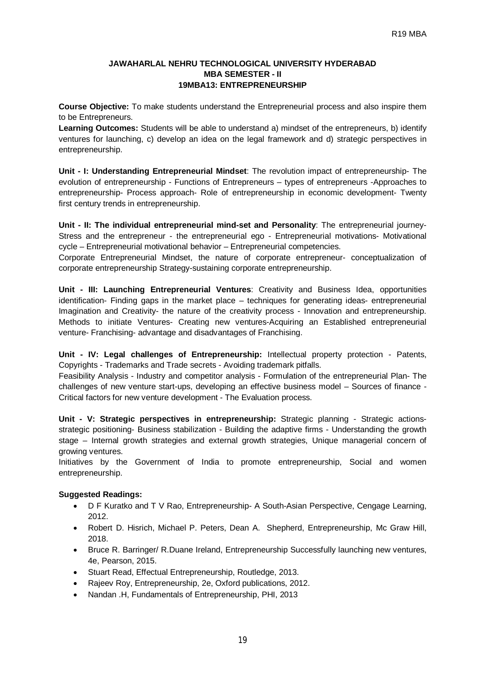# **JAWAHARLAL NEHRU TECHNOLOGICAL UNIVERSITY HYDERABAD MBA SEMESTER - II 19MBA13: ENTREPRENEURSHIP**

**Course Objective:** To make students understand the Entrepreneurial process and also inspire them to be Entrepreneurs.

**Learning Outcomes:** Students will be able to understand a) mindset of the entrepreneurs, b) identify ventures for launching, c) develop an idea on the legal framework and d) strategic perspectives in entrepreneurship.

**Unit - I: Understanding Entrepreneurial Mindset**: The revolution impact of entrepreneurship- The evolution of entrepreneurship - Functions of Entrepreneurs – types of entrepreneurs -Approaches to entrepreneurship- Process approach- Role of entrepreneurship in economic development- Twenty first century trends in entrepreneurship.

**Unit - II: The individual entrepreneurial mind-set and Personality**: The entrepreneurial journey-Stress and the entrepreneur - the entrepreneurial ego - Entrepreneurial motivations- Motivational cycle – Entrepreneurial motivational behavior – Entrepreneurial competencies.

Corporate Entrepreneurial Mindset, the nature of corporate entrepreneur- conceptualization of corporate entrepreneurship Strategy-sustaining corporate entrepreneurship.

**Unit - III: Launching Entrepreneurial Ventures**: Creativity and Business Idea, opportunities identification- Finding gaps in the market place – techniques for generating ideas- entrepreneurial Imagination and Creativity- the nature of the creativity process - Innovation and entrepreneurship. Methods to initiate Ventures- Creating new ventures-Acquiring an Established entrepreneurial venture- Franchising- advantage and disadvantages of Franchising.

**Unit - IV: Legal challenges of Entrepreneurship:** Intellectual property protection - Patents, Copyrights - Trademarks and Trade secrets - Avoiding trademark pitfalls.

Feasibility Analysis - Industry and competitor analysis - Formulation of the entrepreneurial Plan- The challenges of new venture start-ups, developing an effective business model – Sources of finance - Critical factors for new venture development - The Evaluation process.

**Unit - V: Strategic perspectives in entrepreneurship:** Strategic planning - Strategic actionsstrategic positioning- Business stabilization - Building the adaptive firms - Understanding the growth stage – Internal growth strategies and external growth strategies, Unique managerial concern of growing ventures.

Initiatives by the Government of India to promote entrepreneurship, Social and women entrepreneurship.

- D F Kuratko and T V Rao, Entrepreneurship- A South-Asian Perspective, Cengage Learning, 2012.
- Robert D. Hisrich, Michael P. Peters, Dean A. Shepherd, Entrepreneurship, Mc Graw Hill, 2018.
- Bruce R. Barringer/ R.Duane Ireland, Entrepreneurship Successfully launching new ventures, 4e, Pearson, 2015.
- Stuart Read, Effectual Entrepreneurship, Routledge, 2013.
- Rajeev Roy, Entrepreneurship, 2e, Oxford publications, 2012.
- Nandan .H, Fundamentals of Entrepreneurship, PHI, 2013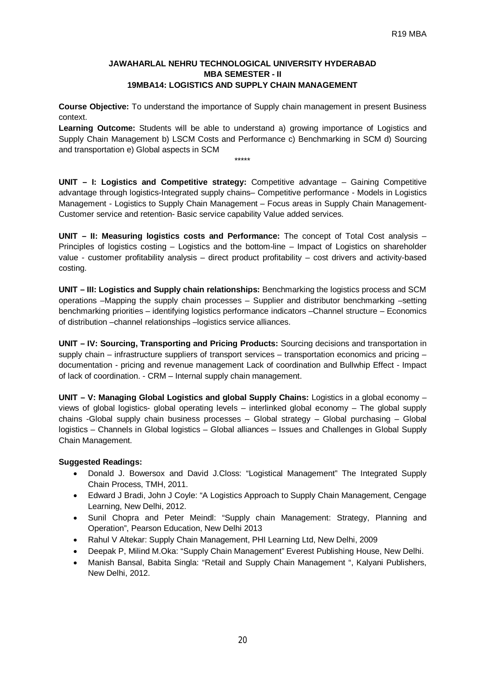# **JAWAHARLAL NEHRU TECHNOLOGICAL UNIVERSITY HYDERABAD MBA SEMESTER - II 19MBA14: LOGISTICS AND SUPPLY CHAIN MANAGEMENT**

**Course Objective:** To understand the importance of Supply chain management in present Business context.

**Learning Outcome:** Students will be able to understand a) growing importance of Logistics and Supply Chain Management b) LSCM Costs and Performance c) Benchmarking in SCM d) Sourcing and transportation e) Global aspects in SCM

\*\*\*\*\*

**UNIT – I: Logistics and Competitive strategy:** Competitive advantage – Gaining Competitive advantage through logistics-Integrated supply chains– Competitive performance - Models in Logistics Management - Logistics to Supply Chain Management – Focus areas in Supply Chain Management-Customer service and retention- Basic service capability Value added services.

**UNIT – II: Measuring logistics costs and Performance:** The concept of Total Cost analysis – Principles of logistics costing – Logistics and the bottom-line – Impact of Logistics on shareholder value - customer profitability analysis – direct product profitability – cost drivers and activity-based costing.

**UNIT – III: Logistics and Supply chain relationships:** Benchmarking the logistics process and SCM operations –Mapping the supply chain processes – Supplier and distributor benchmarking –setting benchmarking priorities – identifying logistics performance indicators –Channel structure – Economics of distribution –channel relationships –logistics service alliances.

**UNIT – IV: Sourcing, Transporting and Pricing Products:** Sourcing decisions and transportation in supply chain – infrastructure suppliers of transport services – transportation economics and pricing – documentation - pricing and revenue management Lack of coordination and Bullwhip Effect - Impact of lack of coordination. - CRM – Internal supply chain management.

**UNIT – V: Managing Global Logistics and global Supply Chains:** Logistics in a global economy – views of global logistics- global operating levels – interlinked global economy – The global supply chains -Global supply chain business processes – Global strategy – Global purchasing – Global logistics – Channels in Global logistics – Global alliances – Issues and Challenges in Global Supply Chain Management.

- Donald J. Bowersox and David J.Closs: "Logistical Management" The Integrated Supply Chain Process, TMH, 2011.
- Edward J Bradi, John J Coyle: "A Logistics Approach to Supply Chain Management, Cengage Learning, New Delhi, 2012.
- Sunil Chopra and Peter Meindl: "Supply chain Management: Strategy, Planning and Operation", Pearson Education, New Delhi 2013
- Rahul V Altekar: Supply Chain Management, PHI Learning Ltd, New Delhi, 2009
- Deepak P, Milind M.Oka: "Supply Chain Management" Everest Publishing House, New Delhi.
- Manish Bansal, Babita Singla: "Retail and Supply Chain Management ", Kalyani Publishers, New Delhi, 2012.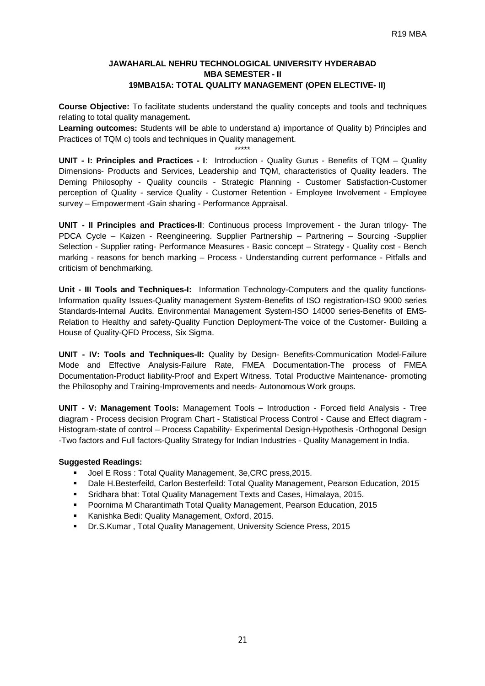# **JAWAHARLAL NEHRU TECHNOLOGICAL UNIVERSITY HYDERABAD MBA SEMESTER - II 19MBA15A: TOTAL QUALITY MANAGEMENT (OPEN ELECTIVE- II)**

**Course Objective:** To facilitate students understand the quality concepts and tools and techniques relating to total quality management**.**

**Learning outcomes:** Students will be able to understand a) importance of Quality b) Principles and Practices of TQM c) tools and techniques in Quality management. \*\*\*\*\*

**UNIT - I: Principles and Practices - I**: Introduction - Quality Gurus - Benefits of TQM – Quality Dimensions- Products and Services, Leadership and TQM, characteristics of Quality leaders. The Deming Philosophy - Quality councils - Strategic Planning - Customer Satisfaction-Customer perception of Quality - service Quality - Customer Retention - Employee Involvement - Employee survey – Empowerment -Gain sharing - Performance Appraisal.

**UNIT - II Principles and Practices-II**: Continuous process Improvement - the Juran trilogy- The PDCA Cycle – Kaizen - Reengineering. Supplier Partnership – Partnering – Sourcing -Supplier Selection - Supplier rating- Performance Measures - Basic concept – Strategy - Quality cost - Bench marking - reasons for bench marking – Process - Understanding current performance - Pitfalls and criticism of benchmarking.

**Unit - III Tools and Techniques-I:** Information Technology-Computers and the quality functions-Information quality Issues-Quality management System-Benefits of ISO registration-ISO 9000 series Standards-Internal Audits. Environmental Management System-ISO 14000 series-Benefits of EMS-Relation to Healthy and safety-Quality Function Deployment-The voice of the Customer- Building a House of Quality-QFD Process, Six Sigma.

**UNIT - IV: Tools and Techniques-II:** Quality by Design- Benefits-Communication Model-Failure Mode and Effective Analysis-Failure Rate, FMEA Documentation-The process of FMEA Documentation-Product liability-Proof and Expert Witness. Total Productive Maintenance- promoting the Philosophy and Training-Improvements and needs- Autonomous Work groups.

**UNIT - V: Management Tools:** Management Tools – Introduction - Forced field Analysis - Tree diagram - Process decision Program Chart - Statistical Process Control - Cause and Effect diagram - Histogram-state of control – Process Capability- Experimental Design-Hypothesis -Orthogonal Design -Two factors and Full factors-Quality Strategy for Indian Industries - Quality Management in India.

- Joel E Ross : Total Quality Management, 3e,CRC press,2015.
- Dale H.Besterfeild, Carlon Besterfeild: Total Quality Management, Pearson Education, 2015
- Sridhara bhat: Total Quality Management Texts and Cases, Himalaya, 2015.
- Poornima M Charantimath Total Quality Management, Pearson Education, 2015
- Kanishka Bedi: Quality Management, Oxford, 2015.
- Dr.S.Kumar , Total Quality Management, University Science Press, 2015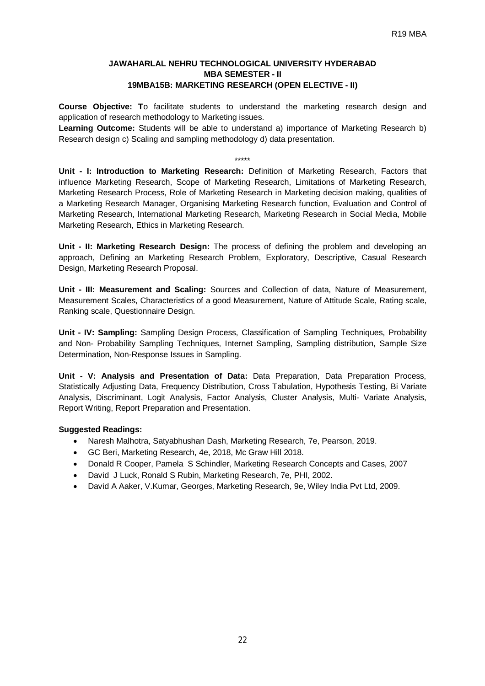# **JAWAHARLAL NEHRU TECHNOLOGICAL UNIVERSITY HYDERABAD MBA SEMESTER - II 19MBA15B: MARKETING RESEARCH (OPEN ELECTIVE - II)**

**Course Objective: T**o facilitate students to understand the marketing research design and application of research methodology to Marketing issues.

**Learning Outcome:** Students will be able to understand a) importance of Marketing Research b) Research design c) Scaling and sampling methodology d) data presentation.

\*\*\*\*\* **Unit - I: Introduction to Marketing Research:** Definition of Marketing Research, Factors that influence Marketing Research, Scope of Marketing Research, Limitations of Marketing Research, Marketing Research Process, Role of Marketing Research in Marketing decision making, qualities of a Marketing Research Manager, Organising Marketing Research function, Evaluation and Control of Marketing Research, International Marketing Research, Marketing Research in Social Media, Mobile Marketing Research, Ethics in Marketing Research.

**Unit - II: Marketing Research Design:** The process of defining the problem and developing an approach, Defining an Marketing Research Problem, Exploratory, Descriptive, Casual Research Design, Marketing Research Proposal.

**Unit - III: Measurement and Scaling:** Sources and Collection of data, Nature of Measurement, Measurement Scales, Characteristics of a good Measurement, Nature of Attitude Scale, Rating scale, Ranking scale, Questionnaire Design.

**Unit - IV: Sampling:** Sampling Design Process, Classification of Sampling Techniques, Probability and Non- Probability Sampling Techniques, Internet Sampling, Sampling distribution, Sample Size Determination, Non-Response Issues in Sampling.

**Unit - V: Analysis and Presentation of Data:** Data Preparation, Data Preparation Process, Statistically Adjusting Data, Frequency Distribution, Cross Tabulation, Hypothesis Testing, Bi Variate Analysis, Discriminant, Logit Analysis, Factor Analysis, Cluster Analysis, Multi- Variate Analysis, Report Writing, Report Preparation and Presentation.

- Naresh Malhotra, Satyabhushan Dash, Marketing Research, 7e, Pearson, 2019.
- GC Beri, Marketing Research, 4e, 2018, Mc Graw Hill 2018.
- Donald R Cooper, Pamela S Schindler, Marketing Research Concepts and Cases, 2007
- David J Luck, Ronald S Rubin, Marketing Research, 7e, PHI, 2002.
- David A Aaker, V.Kumar, Georges, Marketing Research, 9e, Wiley India Pvt Ltd, 2009.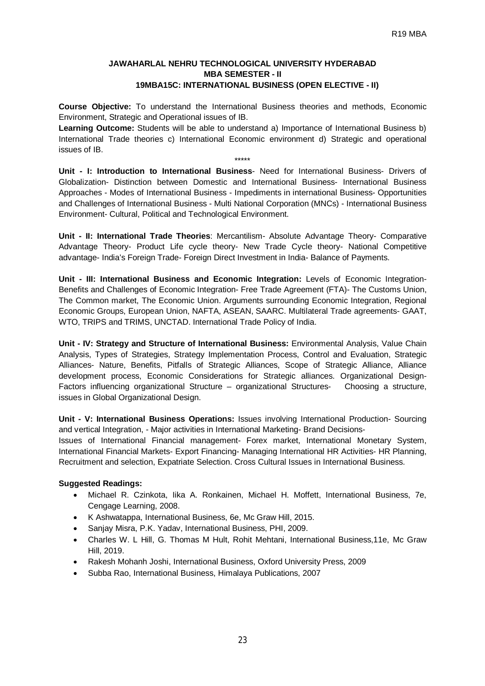# **JAWAHARLAL NEHRU TECHNOLOGICAL UNIVERSITY HYDERABAD MBA SEMESTER - II 19MBA15C: INTERNATIONAL BUSINESS (OPEN ELECTIVE - II)**

**Course Objective:** To understand the International Business theories and methods, Economic Environment, Strategic and Operational issues of IB.

**Learning Outcome:** Students will be able to understand a) Importance of International Business b) International Trade theories c) International Economic environment d) Strategic and operational issues of IB.

\*\*\*\*\*

**Unit - I: Introduction to International Business**- Need for International Business- Drivers of Globalization- Distinction between Domestic and International Business- International Business Approaches - Modes of International Business - Impediments in international Business- Opportunities and Challenges of International Business - Multi National Corporation (MNCs) - International Business Environment- Cultural, Political and Technological Environment.

**Unit - II: International Trade Theories**: Mercantilism- Absolute Advantage Theory- Comparative Advantage Theory- Product Life cycle theory- New Trade Cycle theory- National Competitive advantage- India's Foreign Trade- Foreign Direct Investment in India- Balance of Payments.

**Unit - III: International Business and Economic Integration:** Levels of Economic Integration-Benefits and Challenges of Economic Integration- Free Trade Agreement (FTA)- The Customs Union, The Common market, The Economic Union. Arguments surrounding Economic Integration, Regional Economic Groups, European Union, NAFTA, ASEAN, SAARC. Multilateral Trade agreements- GAAT, WTO, TRIPS and TRIMS, UNCTAD. International Trade Policy of India.

**Unit - IV: Strategy and Structure of International Business:** Environmental Analysis, Value Chain Analysis, Types of Strategies, Strategy Implementation Process, Control and Evaluation, Strategic Alliances- Nature, Benefits, Pitfalls of Strategic Alliances, Scope of Strategic Alliance, Alliance development process, Economic Considerations for Strategic alliances. Organizational Design-Factors influencing organizational Structure – organizational Structures- Choosing a structure, issues in Global Organizational Design.

**Unit - V: International Business Operations:** Issues involving International Production- Sourcing and vertical Integration, - Major activities in International Marketing- Brand Decisions-

Issues of International Financial management- Forex market, International Monetary System, International Financial Markets- Export Financing- Managing International HR Activities- HR Planning, Recruitment and selection, Expatriate Selection. Cross Cultural Issues in International Business.

- Michael R. Czinkota, Iika A. Ronkainen, Michael H. Moffett, International Business, 7e, Cengage Learning, 2008.
- K Ashwatappa, International Business, 6e, Mc Graw Hill, 2015.
- Sanjay Misra, P.K. Yadav, International Business, PHI, 2009.
- Charles W. L Hill, G. Thomas M Hult, Rohit Mehtani, International Business,11e, Mc Graw Hill, 2019.
- Rakesh Mohanh Joshi, International Business, Oxford University Press, 2009
- Subba Rao, International Business, Himalaya Publications, 2007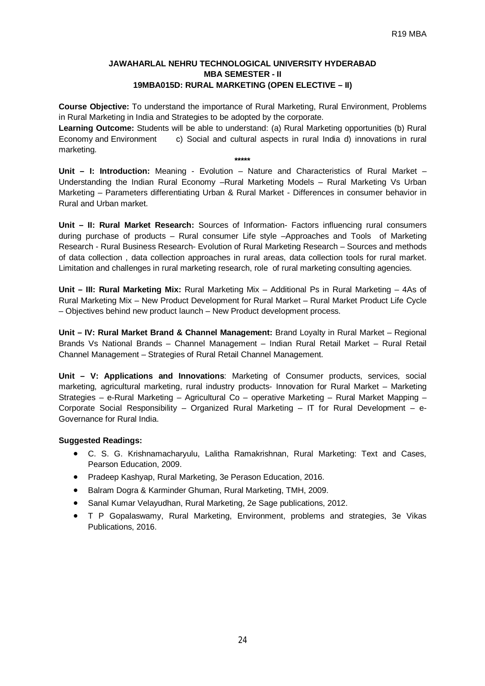# **JAWAHARLAL NEHRU TECHNOLOGICAL UNIVERSITY HYDERABAD MBA SEMESTER - II 19MBA015D: RURAL MARKETING (OPEN ELECTIVE – II)**

**Course Objective:** To understand the importance of Rural Marketing, Rural Environment, Problems in Rural Marketing in India and Strategies to be adopted by the corporate.

**Learning Outcome:** Students will be able to understand: (a) Rural Marketing opportunities (b) Rural Economy and Environment c) Social and cultural aspects in rural India d) innovations in rural marketing.

**\*\*\*\*\* Unit – I: Introduction:** Meaning - Evolution – Nature and Characteristics of Rural Market – Understanding the Indian Rural Economy –Rural Marketing Models – Rural Marketing Vs Urban Marketing – Parameters differentiating Urban & Rural Market - Differences in consumer behavior in Rural and Urban market.

**Unit – II: Rural Market Research:** Sources of Information- Factors influencing rural consumers during purchase of products – Rural consumer Life style –Approaches and Tools of Marketing Research - Rural Business Research- Evolution of Rural Marketing Research – Sources and methods of data collection , data collection approaches in rural areas, data collection tools for rural market. Limitation and challenges in rural marketing research, role of rural marketing consulting agencies.

**Unit – III: Rural Marketing Mix:** Rural Marketing Mix – Additional Ps in Rural Marketing – 4As of Rural Marketing Mix – New Product Development for Rural Market – Rural Market Product Life Cycle – Objectives behind new product launch – New Product development process.

**Unit – IV: Rural Market Brand & Channel Management:** Brand Loyalty in Rural Market – Regional Brands Vs National Brands – Channel Management – Indian Rural Retail Market – Rural Retail Channel Management – Strategies of Rural Retail Channel Management.

**Unit – V: Applications and Innovations**: Marketing of Consumer products, services, social marketing, agricultural marketing, rural industry products- Innovation for Rural Market – Marketing Strategies – e-Rural Marketing – Agricultural Co – operative Marketing – Rural Market Mapping – Corporate Social Responsibility – Organized Rural Marketing – IT for Rural Development – e-Governance for Rural India.

- C. S. G. Krishnamacharyulu, Lalitha Ramakrishnan, Rural Marketing: Text and Cases, Pearson Education, 2009.
- Pradeep Kashyap, Rural Marketing, 3e Perason Education, 2016.
- Balram Dogra & Karminder Ghuman, Rural Marketing, TMH, 2009.
- Sanal Kumar Velayudhan, Rural Marketing, 2e Sage publications, 2012.
- T P Gopalaswamy, Rural Marketing, Environment, problems and strategies, 3e Vikas Publications, 2016.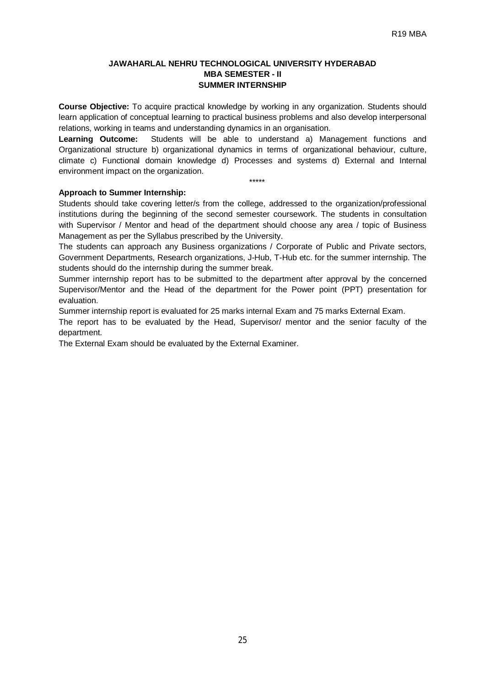# **JAWAHARLAL NEHRU TECHNOLOGICAL UNIVERSITY HYDERABAD MBA SEMESTER - II SUMMER INTERNSHIP**

**Course Objective:** To acquire practical knowledge by working in any organization. Students should learn application of conceptual learning to practical business problems and also develop interpersonal relations, working in teams and understanding dynamics in an organisation.

**Learning Outcome:** Students will be able to understand a) Management functions and Organizational structure b) organizational dynamics in terms of organizational behaviour, culture, climate c) Functional domain knowledge d) Processes and systems d) External and Internal environment impact on the organization.

\*\*\*\*\*

# **Approach to Summer Internship:**

Students should take covering letter/s from the college, addressed to the organization/professional institutions during the beginning of the second semester coursework. The students in consultation with Supervisor / Mentor and head of the department should choose any area / topic of Business Management as per the Syllabus prescribed by the University.

The students can approach any Business organizations / Corporate of Public and Private sectors, Government Departments, Research organizations, J-Hub, T-Hub etc. for the summer internship. The students should do the internship during the summer break.

Summer internship report has to be submitted to the department after approval by the concerned Supervisor/Mentor and the Head of the department for the Power point (PPT) presentation for evaluation.

Summer internship report is evaluated for 25 marks internal Exam and 75 marks External Exam.

The report has to be evaluated by the Head, Supervisor/ mentor and the senior faculty of the department.

The External Exam should be evaluated by the External Examiner.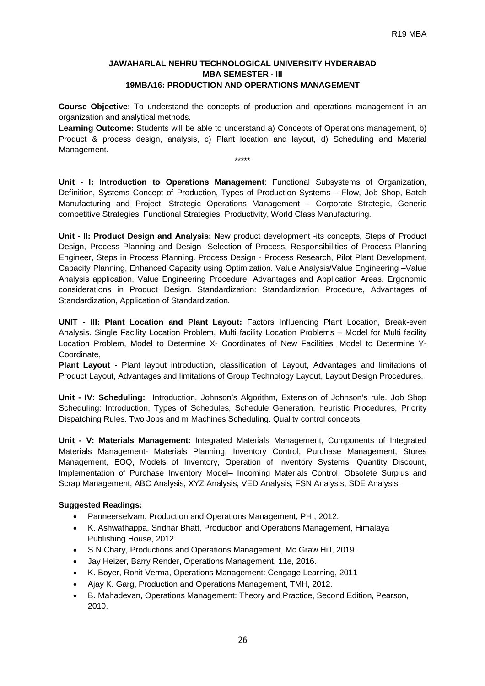# **JAWAHARLAL NEHRU TECHNOLOGICAL UNIVERSITY HYDERABAD MBA SEMESTER - III 19MBA16: PRODUCTION AND OPERATIONS MANAGEMENT**

**Course Objective:** To understand the concepts of production and operations management in an organization and analytical methods.

**Learning Outcome:** Students will be able to understand a) Concepts of Operations management, b) Product & process design, analysis, c) Plant location and layout, d) Scheduling and Material Management.

\*\*\*\*\*

**Unit - I: Introduction to Operations Management**: Functional Subsystems of Organization, Definition, Systems Concept of Production, Types of Production Systems – Flow, Job Shop, Batch Manufacturing and Project, Strategic Operations Management – Corporate Strategic, Generic competitive Strategies, Functional Strategies, Productivity, World Class Manufacturing.

**Unit - II: Product Design and Analysis: N**ew product development -its concepts, Steps of Product Design, Process Planning and Design- Selection of Process, Responsibilities of Process Planning Engineer, Steps in Process Planning. Process Design - Process Research, Pilot Plant Development, Capacity Planning, Enhanced Capacity using Optimization. Value Analysis/Value Engineering –Value Analysis application, Value Engineering Procedure, Advantages and Application Areas. Ergonomic considerations in Product Design. Standardization: Standardization Procedure, Advantages of Standardization, Application of Standardization.

**UNIT - III: Plant Location and Plant Layout:** Factors Influencing Plant Location, Break-even Analysis. Single Facility Location Problem, Multi facility Location Problems – Model for Multi facility Location Problem, Model to Determine X- Coordinates of New Facilities, Model to Determine Y-**Coordinate** 

**Plant Layout -** Plant layout introduction, classification of Layout, Advantages and limitations of Product Layout, Advantages and limitations of Group Technology Layout, Layout Design Procedures.

**Unit - IV: Scheduling:** Introduction, Johnson's Algorithm, Extension of Johnson's rule. Job Shop Scheduling: Introduction, Types of Schedules, Schedule Generation, heuristic Procedures, Priority Dispatching Rules. Two Jobs and m Machines Scheduling. Quality control concepts

**Unit - V: Materials Management:** Integrated Materials Management, Components of Integrated Materials Management- Materials Planning, Inventory Control, Purchase Management, Stores Management, EOQ, Models of Inventory, Operation of Inventory Systems, Quantity Discount, Implementation of Purchase Inventory Model– Incoming Materials Control, Obsolete Surplus and Scrap Management, ABC Analysis, XYZ Analysis, VED Analysis, FSN Analysis, SDE Analysis.

- Panneerselvam, Production and Operations Management, PHI, 2012.
- K. Ashwathappa, Sridhar Bhatt, Production and Operations Management, Himalaya Publishing House, 2012
- S N Chary, Productions and Operations Management, Mc Graw Hill, 2019.
- Jay Heizer, Barry Render, Operations Management, 11e, 2016.
- K. Boyer, Rohit Verma, Operations Management: Cengage Learning, 2011
- Ajay K. Garg, Production and Operations Management, TMH, 2012.
- B. Mahadevan, Operations Management: Theory and Practice, Second Edition, Pearson, 2010.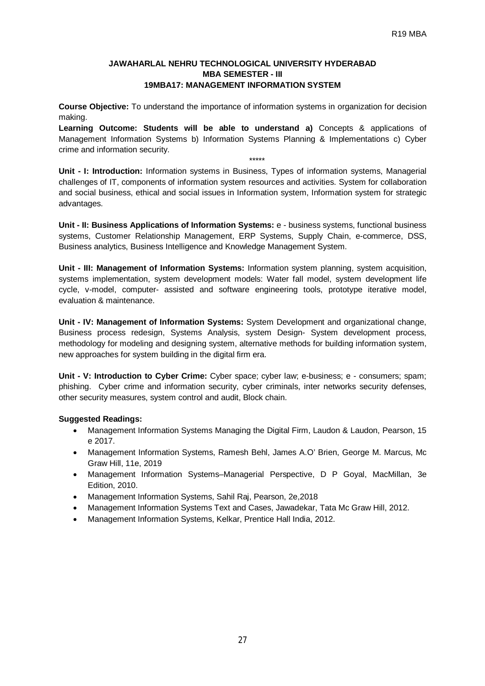### **JAWAHARLAL NEHRU TECHNOLOGICAL UNIVERSITY HYDERABAD MBA SEMESTER - III 19MBA17: MANAGEMENT INFORMATION SYSTEM**

**Course Objective:** To understand the importance of information systems in organization for decision making.

**Learning Outcome: Students will be able to understand a)** Concepts & applications of Management Information Systems b) Information Systems Planning & Implementations c) Cyber crime and information security.

\*\*\*\*\* **Unit - I: Introduction:** Information systems in Business, Types of information systems, Managerial challenges of IT, components of information system resources and activities. System for collaboration and social business, ethical and social issues in Information system, Information system for strategic advantages.

**Unit - II: Business Applications of Information Systems:** e - business systems, functional business systems, Customer Relationship Management, ERP Systems, Supply Chain, e-commerce, DSS, Business analytics, Business Intelligence and Knowledge Management System.

**Unit - III: Management of Information Systems:** Information system planning, system acquisition, systems implementation, system development models: Water fall model, system development life cycle, v-model, computer- assisted and software engineering tools, prototype iterative model, evaluation & maintenance.

**Unit - IV: Management of Information Systems:** System Development and organizational change, Business process redesign, Systems Analysis, system Design- System development process, methodology for modeling and designing system, alternative methods for building information system, new approaches for system building in the digital firm era.

**Unit - V: Introduction to Cyber Crime:** Cyber space; cyber law; e-business; e - consumers; spam; phishing. Cyber crime and information security, cyber criminals, inter networks security defenses, other security measures, system control and audit, Block chain.

- Management Information Systems Managing the Digital Firm, Laudon & Laudon, Pearson, 15 e 2017.
- Management Information Systems, Ramesh Behl, James A.O' Brien, George M. Marcus, Mc Graw Hill, 11e, 2019
- Management Information Systems–Managerial Perspective, D P Goyal, MacMillan, 3e Edition, 2010.
- Management Information Systems, Sahil Raj, Pearson, 2e,2018
- Management Information Systems Text and Cases, Jawadekar, Tata Mc Graw Hill, 2012.
- Management Information Systems, Kelkar, Prentice Hall India, 2012.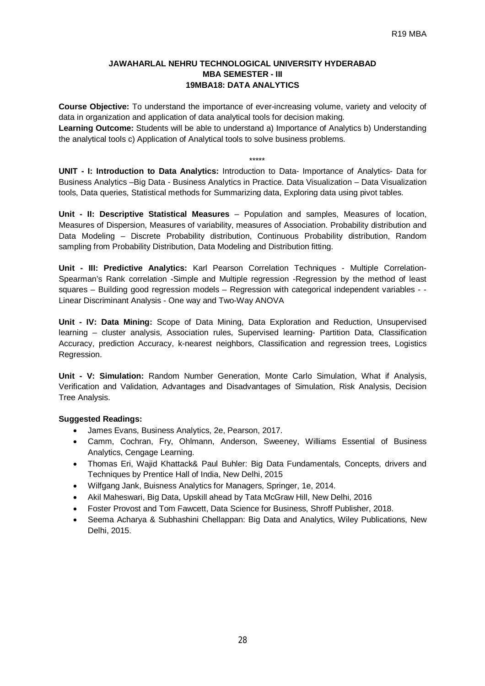# **JAWAHARLAL NEHRU TECHNOLOGICAL UNIVERSITY HYDERABAD MBA SEMESTER - III 19MBA18: DATA ANALYTICS**

**Course Objective:** To understand the importance of ever-increasing volume, variety and velocity of data in organization and application of data analytical tools for decision making.

**Learning Outcome:** Students will be able to understand a) Importance of Analytics b) Understanding the analytical tools c) Application of Analytical tools to solve business problems.

\*\*\*\*\*

**UNIT - I: Introduction to Data Analytics:** Introduction to Data- Importance of Analytics- Data for Business Analytics –Big Data - Business Analytics in Practice. Data Visualization – Data Visualization tools, Data queries, Statistical methods for Summarizing data, Exploring data using pivot tables.

**Unit - II: Descriptive Statistical Measures** – Population and samples, Measures of location, Measures of Dispersion, Measures of variability, measures of Association. Probability distribution and Data Modeling – Discrete Probability distribution, Continuous Probability distribution, Random sampling from Probability Distribution, Data Modeling and Distribution fitting.

**Unit - III: Predictive Analytics:** Karl Pearson Correlation Techniques - Multiple Correlation-Spearman's Rank correlation -Simple and Multiple regression -Regression by the method of least squares – Building good regression models – Regression with categorical independent variables - - Linear Discriminant Analysis - One way and Two-Way ANOVA

**Unit - IV: Data Mining:** Scope of Data Mining, Data Exploration and Reduction, Unsupervised learning – cluster analysis, Association rules, Supervised learning- Partition Data, Classification Accuracy, prediction Accuracy, k-nearest neighbors, Classification and regression trees, Logistics Regression.

**Unit - V: Simulation:** Random Number Generation, Monte Carlo Simulation, What if Analysis, Verification and Validation, Advantages and Disadvantages of Simulation, Risk Analysis, Decision Tree Analysis.

- James Evans, Business Analytics, 2e, Pearson, 2017.
- Camm, Cochran, Fry, Ohlmann, Anderson, Sweeney, Williams Essential of Business Analytics, Cengage Learning.
- Thomas Eri, Wajid Khattack& Paul Buhler: Big Data Fundamentals, Concepts, drivers and Techniques by Prentice Hall of India, New Delhi, 2015
- Wilfgang Jank, Buisness Analytics for Managers, Springer, 1e, 2014.
- Akil Maheswari, Big Data, Upskill ahead by Tata McGraw Hill, New Delhi, 2016
- Foster Provost and Tom Fawcett, Data Science for Business, Shroff Publisher, 2018.
- Seema Acharya & Subhashini Chellappan: Big Data and Analytics, Wiley Publications, New Delhi, 2015.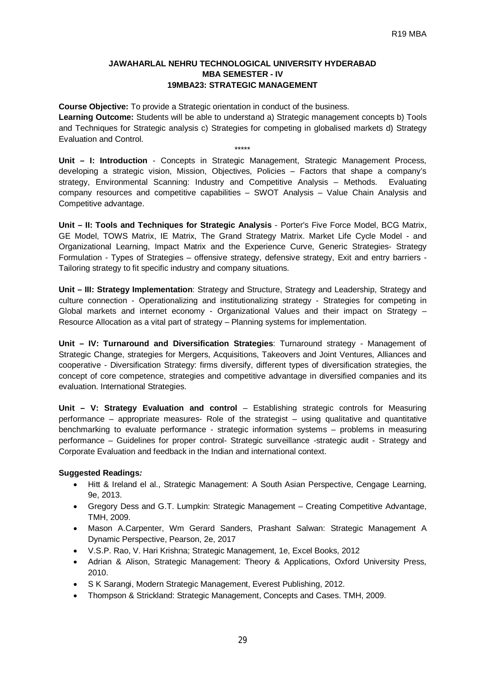## **JAWAHARLAL NEHRU TECHNOLOGICAL UNIVERSITY HYDERABAD MBA SEMESTER - IV 19MBA23: STRATEGIC MANAGEMENT**

**Course Objective:** To provide a Strategic orientation in conduct of the business. **Learning Outcome:** Students will be able to understand a) Strategic management concepts b) Tools and Techniques for Strategic analysis c) Strategies for competing in globalised markets d) Strategy Evaluation and Control. \*\*\*\*\*

**Unit – I: Introduction** - Concepts in Strategic Management, Strategic Management Process, developing a strategic vision, Mission, Objectives, Policies – Factors that shape a company's strategy, Environmental Scanning: Industry and Competitive Analysis – Methods. Evaluating company resources and competitive capabilities – SWOT Analysis – Value Chain Analysis and Competitive advantage.

**Unit – II: Tools and Techniques for Strategic Analysis** - Porter's Five Force Model, BCG Matrix, GE Model, TOWS Matrix, IE Matrix, The Grand Strategy Matrix. Market Life Cycle Model - and Organizational Learning, Impact Matrix and the Experience Curve, Generic Strategies- Strategy Formulation - Types of Strategies – offensive strategy, defensive strategy, Exit and entry barriers - Tailoring strategy to fit specific industry and company situations.

**Unit – III: Strategy Implementation**: Strategy and Structure, Strategy and Leadership, Strategy and culture connection - Operationalizing and institutionalizing strategy - Strategies for competing in Global markets and internet economy - Organizational Values and their impact on Strategy – Resource Allocation as a vital part of strategy – Planning systems for implementation.

**Unit – IV: Turnaround and Diversification Strategies**: Turnaround strategy - Management of Strategic Change, strategies for Mergers, Acquisitions, Takeovers and Joint Ventures, Alliances and cooperative - Diversification Strategy: firms diversify, different types of diversification strategies, the concept of core competence, strategies and competitive advantage in diversified companies and its evaluation. International Strategies.

**Unit – V: Strategy Evaluation and control** – Establishing strategic controls for Measuring performance – appropriate measures- Role of the strategist – using qualitative and quantitative benchmarking to evaluate performance - strategic information systems – problems in measuring performance – Guidelines for proper control- Strategic surveillance -strategic audit - Strategy and Corporate Evaluation and feedback in the Indian and international context.

- Hitt & Ireland el al., Strategic Management: A South Asian Perspective, Cengage Learning, 9e, 2013.
- Gregory Dess and G.T. Lumpkin: Strategic Management Creating Competitive Advantage, TMH, 2009.
- Mason A.Carpenter, Wm Gerard Sanders, Prashant Salwan: Strategic Management A Dynamic Perspective, Pearson, 2e, 2017
- V.S.P. Rao, V. Hari Krishna; Strategic Management, 1e, Excel Books, 2012
- Adrian & Alison, Strategic Management: Theory & Applications, Oxford University Press, 2010.
- S K Sarangi, Modern Strategic Management, Everest Publishing, 2012.
- Thompson & Strickland: Strategic Management, Concepts and Cases. TMH, 2009.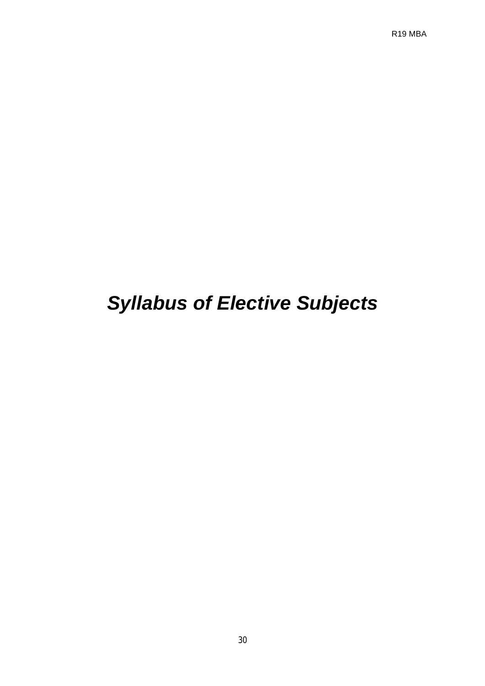R19 MBA

# *Syllabus of Elective Subjects*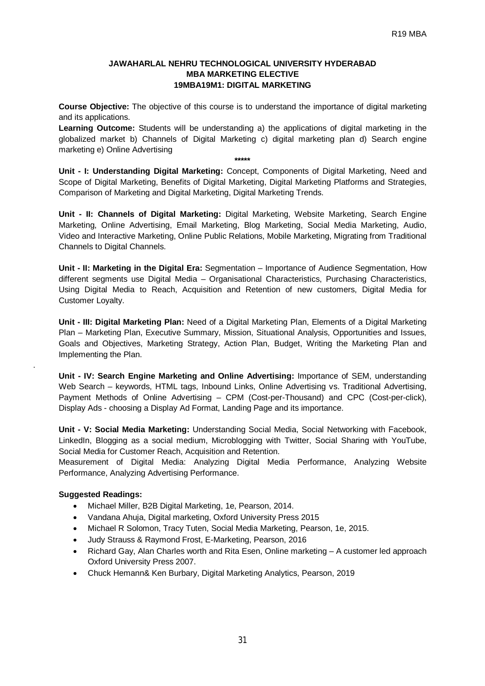#### **JAWAHARLAL NEHRU TECHNOLOGICAL UNIVERSITY HYDERABAD MBA MARKETING ELECTIVE 19MBA19M1: DIGITAL MARKETING**

**Course Objective:** The objective of this course is to understand the importance of digital marketing and its applications.

**Learning Outcome:** Students will be understanding a) the applications of digital marketing in the globalized market b) Channels of Digital Marketing c) digital marketing plan d) Search engine marketing e) Online Advertising

**Unit - I: Understanding Digital Marketing:** Concept, Components of Digital Marketing, Need and Scope of Digital Marketing, Benefits of Digital Marketing, Digital Marketing Platforms and Strategies, Comparison of Marketing and Digital Marketing, Digital Marketing Trends.

**\*\*\*\*\***

**Unit - II: Channels of Digital Marketing:** Digital Marketing, Website Marketing, Search Engine Marketing, Online Advertising, Email Marketing, Blog Marketing, Social Media Marketing, Audio, Video and Interactive Marketing, Online Public Relations, Mobile Marketing, Migrating from Traditional Channels to Digital Channels.

**Unit - II: Marketing in the Digital Era:** Segmentation – Importance of Audience Segmentation, How different segments use Digital Media – Organisational Characteristics, Purchasing Characteristics, Using Digital Media to Reach, Acquisition and Retention of new customers, Digital Media for Customer Loyalty.

**Unit - III: Digital Marketing Plan:** Need of a Digital Marketing Plan, Elements of a Digital Marketing Plan – Marketing Plan, Executive Summary, Mission, Situational Analysis, Opportunities and Issues, Goals and Objectives, Marketing Strategy, Action Plan, Budget, Writing the Marketing Plan and Implementing the Plan.

**Unit - IV: Search Engine Marketing and Online Advertising:** Importance of SEM, understanding Web Search – keywords, HTML tags, Inbound Links, Online Advertising vs. Traditional Advertising, Payment Methods of Online Advertising – CPM (Cost-per-Thousand) and CPC (Cost-per-click), Display Ads - choosing a Display Ad Format, Landing Page and its importance.

**Unit - V: Social Media Marketing:** Understanding Social Media, Social Networking with Facebook, LinkedIn, Blogging as a social medium, Microblogging with Twitter, Social Sharing with YouTube, Social Media for Customer Reach, Acquisition and Retention.

Measurement of Digital Media: Analyzing Digital Media Performance, Analyzing Website Performance, Analyzing Advertising Performance.

# **Suggested Readings:**

.

- Michael Miller, B2B Digital Marketing, 1e, Pearson, 2014.
- Vandana Ahuja, Digital marketing, Oxford University Press 2015
- Michael R Solomon, Tracy Tuten, Social Media Marketing, Pearson, 1e, 2015.
- Judy Strauss & Raymond Frost, E-Marketing, Pearson, 2016
- Richard Gay, Alan Charles worth and Rita Esen, Online marketing A customer led approach Oxford University Press 2007.
- Chuck Hemann& Ken Burbary, Digital Marketing Analytics, Pearson, 2019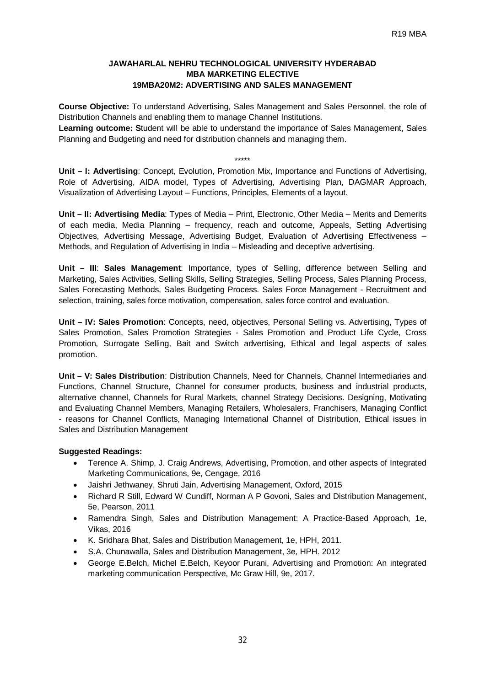# **JAWAHARLAL NEHRU TECHNOLOGICAL UNIVERSITY HYDERABAD MBA MARKETING ELECTIVE 19MBA20M2: ADVERTISING AND SALES MANAGEMENT**

**Course Objective:** To understand Advertising, Sales Management and Sales Personnel, the role of Distribution Channels and enabling them to manage Channel Institutions.

**Learning outcome: S**tudent will be able to understand the importance of Sales Management, Sales Planning and Budgeting and need for distribution channels and managing them.

\*\*\*\*\* **Unit – I: Advertising**: Concept, Evolution, Promotion Mix, Importance and Functions of Advertising, Role of Advertising, AIDA model, Types of Advertising, Advertising Plan, DAGMAR Approach, Visualization of Advertising Layout – Functions, Principles, Elements of a layout.

**Unit – II: Advertising Media**: Types of Media – Print, Electronic, Other Media – Merits and Demerits of each media, Media Planning – frequency, reach and outcome, Appeals, Setting Advertising Objectives, Advertising Message, Advertising Budget, Evaluation of Advertising Effectiveness – Methods, and Regulation of Advertising in India – Misleading and deceptive advertising.

**Unit – III**: **Sales Management**: Importance, types of Selling, difference between Selling and Marketing, Sales Activities, Selling Skills, Selling Strategies, Selling Process, Sales Planning Process, Sales Forecasting Methods, Sales Budgeting Process. Sales Force Management - Recruitment and selection, training, sales force motivation, compensation, sales force control and evaluation.

**Unit – IV: Sales Promotion**: Concepts, need, objectives, Personal Selling vs. Advertising, Types of Sales Promotion, Sales Promotion Strategies - Sales Promotion and Product Life Cycle, Cross Promotion, Surrogate Selling, Bait and Switch advertising, Ethical and legal aspects of sales promotion.

**Unit – V: Sales Distribution**: Distribution Channels, Need for Channels, Channel Intermediaries and Functions, Channel Structure, Channel for consumer products, business and industrial products, alternative channel, Channels for Rural Markets, channel Strategy Decisions. Designing, Motivating and Evaluating Channel Members, Managing Retailers, Wholesalers, Franchisers, Managing Conflict - reasons for Channel Conflicts, Managing International Channel of Distribution, Ethical issues in Sales and Distribution Management

- Terence A. Shimp, J. Craig Andrews, Advertising, Promotion, and other aspects of Integrated Marketing Communications, 9e, Cengage, 2016
- Jaishri Jethwaney, Shruti Jain, Advertising Management, Oxford, 2015
- Richard R Still, Edward W Cundiff, Norman A P Govoni, Sales and Distribution Management, 5e, Pearson, 2011
- Ramendra Singh, Sales and Distribution Management: A Practice-Based Approach, 1e, Vikas, 2016
- K. Sridhara Bhat, Sales and Distribution Management, 1e, HPH, 2011.
- S.A. Chunawalla, Sales and Distribution Management, 3e, HPH. 2012
- George E.Belch, Michel E.Belch, Keyoor Purani, Advertising and Promotion: An integrated marketing communication Perspective, Mc Graw Hill, 9e, 2017.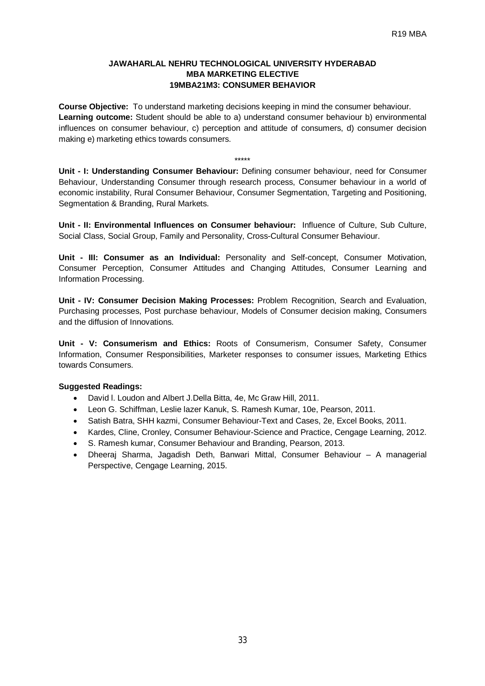## **JAWAHARLAL NEHRU TECHNOLOGICAL UNIVERSITY HYDERABAD MBA MARKETING ELECTIVE 19MBA21M3: CONSUMER BEHAVIOR**

**Course Objective:** To understand marketing decisions keeping in mind the consumer behaviour. **Learning outcome:** Student should be able to a) understand consumer behaviour b) environmental influences on consumer behaviour, c) perception and attitude of consumers, d) consumer decision making e) marketing ethics towards consumers.

\*\*\*\*\*

**Unit - I: Understanding Consumer Behaviour:** Defining consumer behaviour, need for Consumer Behaviour, Understanding Consumer through research process, Consumer behaviour in a world of economic instability, Rural Consumer Behaviour, Consumer Segmentation, Targeting and Positioning, Segmentation & Branding, Rural Markets.

**Unit - II: Environmental Influences on Consumer behaviour:** Influence of Culture, Sub Culture, Social Class, Social Group, Family and Personality, Cross-Cultural Consumer Behaviour.

**Unit - III: Consumer as an Individual:** Personality and Self-concept, Consumer Motivation, Consumer Perception, Consumer Attitudes and Changing Attitudes, Consumer Learning and Information Processing.

**Unit - IV: Consumer Decision Making Processes:** Problem Recognition, Search and Evaluation, Purchasing processes, Post purchase behaviour, Models of Consumer decision making, Consumers and the diffusion of Innovations.

**Unit - V: Consumerism and Ethics:** Roots of Consumerism, Consumer Safety, Consumer Information, Consumer Responsibilities, Marketer responses to consumer issues, Marketing Ethics towards Consumers.

- David I. Loudon and Albert J. Della Bitta, 4e, Mc Graw Hill, 2011.
- Leon G. Schiffman, Leslie lazer Kanuk, S. Ramesh Kumar, 10e, Pearson, 2011.
- Satish Batra, SHH kazmi, Consumer Behaviour-Text and Cases, 2e, Excel Books, 2011.
- Kardes, Cline, Cronley, Consumer Behaviour-Science and Practice, Cengage Learning, 2012.
- S. Ramesh kumar, Consumer Behaviour and Branding, Pearson, 2013.
- Dheeraj Sharma, Jagadish Deth, Banwari Mittal, Consumer Behaviour A managerial Perspective, Cengage Learning, 2015.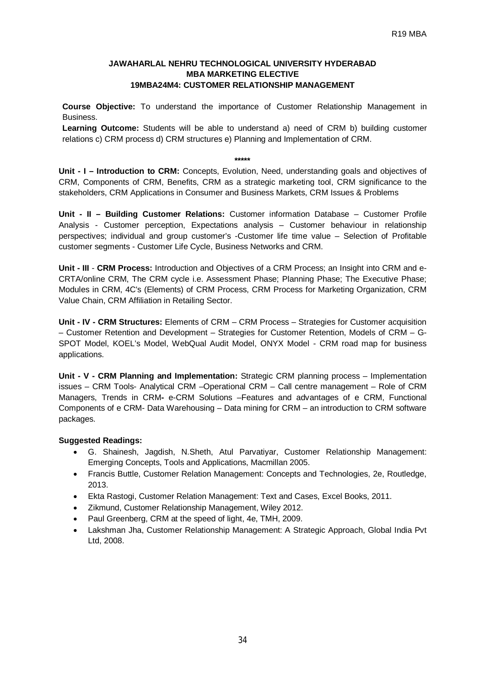# **JAWAHARLAL NEHRU TECHNOLOGICAL UNIVERSITY HYDERABAD MBA MARKETING ELECTIVE 19MBA24M4: CUSTOMER RELATIONSHIP MANAGEMENT**

**Course Objective:** To understand the importance of Customer Relationship Management in Business.

**Learning Outcome:** Students will be able to understand a) need of CRM b) building customer relations c) CRM process d) CRM structures e) Planning and Implementation of CRM.

# **\*\*\*\*\***

**Unit - I – Introduction to CRM:** Concepts, Evolution, Need, understanding goals and objectives of CRM, Components of CRM, Benefits, CRM as a strategic marketing tool, CRM significance to the stakeholders, CRM Applications in Consumer and Business Markets, CRM Issues & Problems

**Unit - II – Building Customer Relations:** Customer information Database – Customer Profile Analysis - Customer perception, Expectations analysis – Customer behaviour in relationship perspectives; individual and group customer's -Customer life time value – Selection of Profitable customer segments - Customer Life Cycle, Business Networks and CRM.

**Unit - III** - **CRM Process:** Introduction and Objectives of a CRM Process; an Insight into CRM and e-CRTA/online CRM, The CRM cycle i.e. Assessment Phase; Planning Phase; The Executive Phase; Modules in CRM, 4C's (Elements) of CRM Process, CRM Process for Marketing Organization, CRM Value Chain, CRM Affiliation in Retailing Sector.

**Unit - IV - CRM Structures:** Elements of CRM – CRM Process – Strategies for Customer acquisition – Customer Retention and Development – Strategies for Customer Retention, Models of CRM – G-SPOT Model, KOEL's Model, WebQual Audit Model, ONYX Model - CRM road map for business applications.

**Unit - V - CRM Planning and Implementation:** Strategic CRM planning process – Implementation issues – CRM Tools- Analytical CRM –Operational CRM – Call centre management – Role of CRM Managers, Trends in CRM**-** e-CRM Solutions –Features and advantages of e CRM, Functional Components of e CRM- Data Warehousing – Data mining for CRM – an introduction to CRM software packages.

- G. Shainesh, Jagdish, N.Sheth, Atul Parvatiyar, Customer Relationship Management: Emerging Concepts, Tools and Applications, Macmillan 2005.
- Francis Buttle, Customer Relation Management: Concepts and Technologies, 2e, Routledge, 2013.
- Ekta Rastogi, Customer Relation Management: Text and Cases, Excel Books, 2011.
- Zikmund, Customer Relationship Management, Wiley 2012.
- Paul Greenberg, CRM at the speed of light, 4e, TMH, 2009.
- Lakshman Jha, Customer Relationship Management: A Strategic Approach, Global India Pvt Ltd, 2008.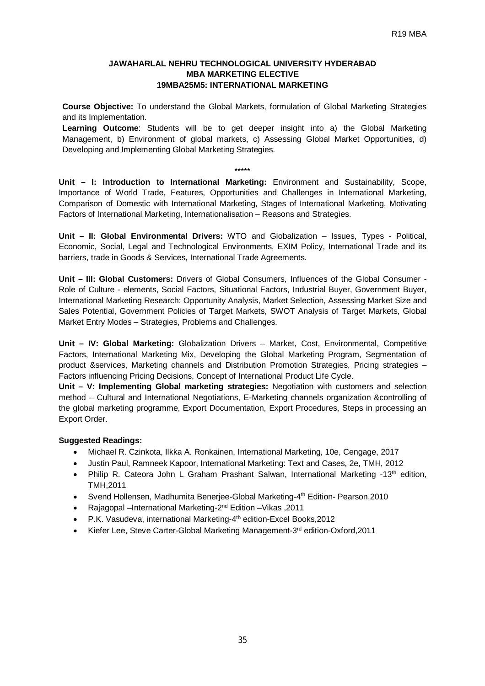# **JAWAHARLAL NEHRU TECHNOLOGICAL UNIVERSITY HYDERABAD MBA MARKETING ELECTIVE 19MBA25M5: INTERNATIONAL MARKETING**

**Course Objective:** To understand the Global Markets, formulation of Global Marketing Strategies and its Implementation.

**Learning Outcome**: Students will be to get deeper insight into a) the Global Marketing Management, b) Environment of global markets, c) Assessing Global Market Opportunities, d) Developing and Implementing Global Marketing Strategies.

#### \*\*\*\*\*

**Unit – I: Introduction to International Marketing:** Environment and Sustainability, Scope, Importance of World Trade, Features, Opportunities and Challenges in International Marketing, Comparison of Domestic with International Marketing, Stages of International Marketing, Motivating Factors of International Marketing, Internationalisation – Reasons and Strategies.

**Unit – II: Global Environmental Drivers:** WTO and Globalization – Issues, Types - Political, Economic, Social, Legal and Technological Environments, EXIM Policy, International Trade and its barriers, trade in Goods & Services, International Trade Agreements.

**Unit – III: Global Customers:** Drivers of Global Consumers, Influences of the Global Consumer - Role of Culture - elements, Social Factors, Situational Factors, Industrial Buyer, Government Buyer, International Marketing Research: Opportunity Analysis, Market Selection, Assessing Market Size and Sales Potential, Government Policies of Target Markets, SWOT Analysis of Target Markets, Global Market Entry Modes – Strategies, Problems and Challenges.

**Unit – IV: Global Marketing:** Globalization Drivers – Market, Cost, Environmental, Competitive Factors, International Marketing Mix, Developing the Global Marketing Program, Segmentation of product &services, Marketing channels and Distribution Promotion Strategies, Pricing strategies – Factors influencing Pricing Decisions, Concept of International Product Life Cycle.

**Unit – V: Implementing Global marketing strategies:** Negotiation with customers and selection method – Cultural and International Negotiations, E-Marketing channels organization &controlling of the global marketing programme, Export Documentation, Export Procedures, Steps in processing an Export Order.

- Michael R. Czinkota, Ilkka A. Ronkainen, International Marketing, 10e, Cengage, 2017
- Justin Paul, Ramneek Kapoor, International Marketing: Text and Cases, 2e, TMH, 2012
- Philip R. Cateora John L Graham Prashant Salwan, International Marketing  $-13<sup>th</sup>$  edition, TMH,2011
- Svend Hollensen, Madhumita Benerjee-Global Marketing-4<sup>th</sup> Edition- Pearson,2010
- Rajagopal --International Marketing-2<sup>nd</sup> Edition -- Vikas, 2011
- P.K. Vasudeva, international Marketing-4<sup>th</sup> edition-Excel Books, 2012
- Kiefer Lee, Steve Carter-Global Marketing Management-3<sup>rd</sup> edition-Oxford, 2011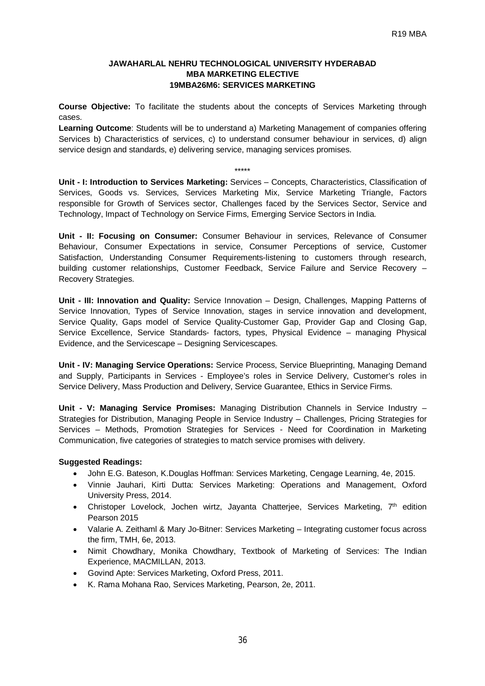#### **JAWAHARLAL NEHRU TECHNOLOGICAL UNIVERSITY HYDERABAD MBA MARKETING ELECTIVE 19MBA26M6: SERVICES MARKETING**

**Course Objective:** To facilitate the students about the concepts of Services Marketing through cases.

**Learning Outcome**: Students will be to understand a) Marketing Management of companies offering Services b) Characteristics of services, c) to understand consumer behaviour in services, d) align service design and standards, e) delivering service, managing services promises.

#### \*\*\*\*\*

**Unit - I: Introduction to Services Marketing:** Services – Concepts, Characteristics, Classification of Services, Goods vs. Services, Services Marketing Mix, Service Marketing Triangle, Factors responsible for Growth of Services sector, Challenges faced by the Services Sector, Service and Technology, Impact of Technology on Service Firms, Emerging Service Sectors in India.

**Unit - II: Focusing on Consumer:** Consumer Behaviour in services, Relevance of Consumer Behaviour, Consumer Expectations in service, Consumer Perceptions of service, Customer Satisfaction, Understanding Consumer Requirements-listening to customers through research, building customer relationships, Customer Feedback, Service Failure and Service Recovery – Recovery Strategies.

**Unit - III: Innovation and Quality:** Service Innovation – Design, Challenges, Mapping Patterns of Service Innovation, Types of Service Innovation, stages in service innovation and development, Service Quality, Gaps model of Service Quality-Customer Gap, Provider Gap and Closing Gap, Service Excellence, Service Standards- factors, types, Physical Evidence – managing Physical Evidence, and the Servicescape – Designing Servicescapes.

**Unit - IV: Managing Service Operations:** Service Process, Service Blueprinting, Managing Demand and Supply, Participants in Services - Employee's roles in Service Delivery, Customer's roles in Service Delivery, Mass Production and Delivery, Service Guarantee, Ethics in Service Firms.

**Unit - V: Managing Service Promises:** Managing Distribution Channels in Service Industry – Strategies for Distribution, Managing People in Service Industry – Challenges, Pricing Strategies for Services – Methods, Promotion Strategies for Services - Need for Coordination in Marketing Communication, five categories of strategies to match service promises with delivery.

- John E.G. Bateson, K.Douglas Hoffman: Services Marketing, Cengage Learning, 4e, 2015.
- Vinnie Jauhari, Kirti Dutta: Services Marketing: Operations and Management, Oxford University Press, 2014.
- Christoper Lovelock, Jochen wirtz, Jayanta Chatterjee, Services Marketing,  $7<sup>th</sup>$  edition Pearson 2015
- Valarie A. Zeithaml & Mary Jo-Bitner: Services Marketing Integrating customer focus across the firm, TMH, 6e, 2013.
- Nimit Chowdhary, Monika Chowdhary, Textbook of Marketing of Services: The Indian Experience, MACMILLAN, 2013.
- Govind Apte: Services Marketing, Oxford Press, 2011.
- K. Rama Mohana Rao, Services Marketing, Pearson, 2e, 2011.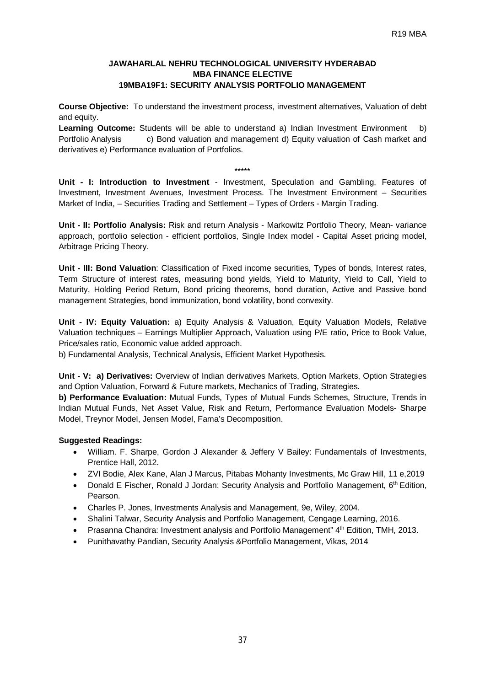# **JAWAHARLAL NEHRU TECHNOLOGICAL UNIVERSITY HYDERABAD MBA FINANCE ELECTIVE 19MBA19F1: SECURITY ANALYSIS PORTFOLIO MANAGEMENT**

**Course Objective:** To understand the investment process, investment alternatives, Valuation of debt and equity.

**Learning Outcome:** Students will be able to understand a) Indian Investment Environment b) Portfolio Analysis c) Bond valuation and management d) Equity valuation of Cash market and derivatives e) Performance evaluation of Portfolios.

#### $\ldots$

**Unit - I: Introduction to Investment** - Investment, Speculation and Gambling, Features of Investment, Investment Avenues, Investment Process. The Investment Environment – Securities Market of India, – Securities Trading and Settlement – Types of Orders - Margin Trading.

**Unit - II: Portfolio Analysis:** Risk and return Analysis - Markowitz Portfolio Theory, Mean- variance approach, portfolio selection - efficient portfolios, Single Index model - Capital Asset pricing model, Arbitrage Pricing Theory.

**Unit - III: Bond Valuation**: Classification of Fixed income securities, Types of bonds, Interest rates, Term Structure of interest rates, measuring bond yields, Yield to Maturity, Yield to Call, Yield to Maturity, Holding Period Return, Bond pricing theorems, bond duration, Active and Passive bond management Strategies, bond immunization, bond volatility, bond convexity.

**Unit - IV: Equity Valuation:** a) Equity Analysis & Valuation, Equity Valuation Models, Relative Valuation techniques – Earnings Multiplier Approach, Valuation using P/E ratio, Price to Book Value, Price/sales ratio, Economic value added approach.

b) Fundamental Analysis, Technical Analysis, Efficient Market Hypothesis.

**Unit - V: a) Derivatives:** Overview of Indian derivatives Markets, Option Markets, Option Strategies and Option Valuation, Forward & Future markets, Mechanics of Trading, Strategies.

**b) Performance Evaluation:** Mutual Funds, Types of Mutual Funds Schemes, Structure, Trends in Indian Mutual Funds, Net Asset Value, Risk and Return, Performance Evaluation Models- Sharpe Model, Treynor Model, Jensen Model, Fama's Decomposition.

- William. F. Sharpe, Gordon J Alexander & Jeffery V Bailey: Fundamentals of Investments, Prentice Hall, 2012.
- ZVI Bodie, Alex Kane, Alan J Marcus, Pitabas Mohanty Investments, Mc Graw Hill, 11 e,2019
- Donald E Fischer, Ronald J Jordan: Security Analysis and Portfolio Management, 6<sup>th</sup> Edition, Pearson.
- Charles P. Jones, Investments Analysis and Management, 9e, Wiley, 2004.
- Shalini Talwar, Security Analysis and Portfolio Management, Cengage Learning, 2016.
- Prasanna Chandra: Investment analysis and Portfolio Management" 4<sup>th</sup> Edition, TMH, 2013.
- Punithavathy Pandian, Security Analysis &Portfolio Management, Vikas, 2014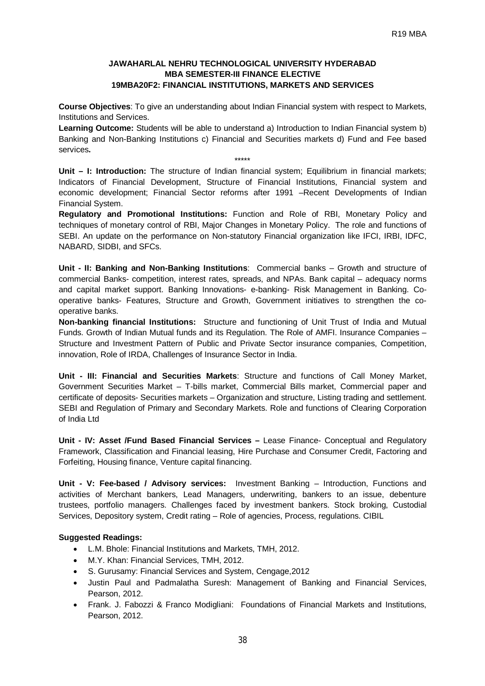# **JAWAHARLAL NEHRU TECHNOLOGICAL UNIVERSITY HYDERABAD MBA SEMESTER-III FINANCE ELECTIVE 19MBA20F2: FINANCIAL INSTITUTIONS, MARKETS AND SERVICES**

**Course Objectives**: To give an understanding about Indian Financial system with respect to Markets, Institutions and Services.

**Learning Outcome:** Students will be able to understand a) Introduction to Indian Financial system b) Banking and Non-Banking Institutions c) Financial and Securities markets d) Fund and Fee based services**.**

\*\*\*\*\*

**Unit – I: Introduction:** The structure of Indian financial system; Equilibrium in financial markets; Indicators of Financial Development, Structure of Financial Institutions, Financial system and economic development; Financial Sector reforms after 1991 –Recent Developments of Indian Financial System.

**Regulatory and Promotional Institutions:** Function and Role of RBI, Monetary Policy and techniques of monetary control of RBI, Major Changes in Monetary Policy. The role and functions of SEBI. An update on the performance on Non-statutory Financial organization like IFCI, IRBI, IDFC, NABARD, SIDBI, and SFCs.

**Unit - II: Banking and Non-Banking Institutions**: Commercial banks – Growth and structure of commercial Banks- competition, interest rates, spreads, and NPAs. Bank capital – adequacy norms and capital market support. Banking Innovations- e-banking- Risk Management in Banking. Cooperative banks- Features, Structure and Growth, Government initiatives to strengthen the cooperative banks.

**Non-banking financial Institutions:** Structure and functioning of Unit Trust of India and Mutual Funds. Growth of Indian Mutual funds and its Regulation. The Role of AMFI. Insurance Companies – Structure and Investment Pattern of Public and Private Sector insurance companies, Competition, innovation, Role of IRDA, Challenges of Insurance Sector in India.

**Unit - III: Financial and Securities Markets**: Structure and functions of Call Money Market, Government Securities Market – T-bills market, Commercial Bills market, Commercial paper and certificate of deposits- Securities markets – Organization and structure, Listing trading and settlement. SEBI and Regulation of Primary and Secondary Markets. Role and functions of Clearing Corporation of India Ltd

**Unit - IV: Asset /Fund Based Financial Services –** Lease Finance- Conceptual and Regulatory Framework, Classification and Financial leasing, Hire Purchase and Consumer Credit, Factoring and Forfeiting, Housing finance, Venture capital financing.

**Unit - V: Fee-based / Advisory services:** Investment Banking – Introduction, Functions and activities of Merchant bankers, Lead Managers, underwriting, bankers to an issue, debenture trustees, portfolio managers. Challenges faced by investment bankers. Stock broking, Custodial Services, Depository system, Credit rating – Role of agencies, Process, regulations. CIBIL

- L.M. Bhole: Financial Institutions and Markets, TMH, 2012.
- M.Y. Khan: Financial Services, TMH, 2012.
- S. Gurusamy: Financial Services and System, Cengage,2012
- Justin Paul and Padmalatha Suresh: Management of Banking and Financial Services, Pearson, 2012.
- Frank. J. Fabozzi & Franco Modigliani: Foundations of Financial Markets and Institutions, Pearson, 2012.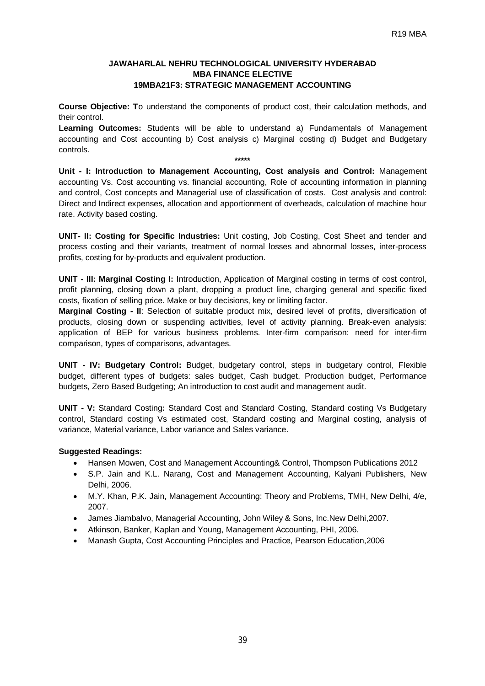# **JAWAHARLAL NEHRU TECHNOLOGICAL UNIVERSITY HYDERABAD MBA FINANCE ELECTIVE 19MBA21F3: STRATEGIC MANAGEMENT ACCOUNTING**

**Course Objective: T**o understand the components of product cost, their calculation methods, and their control.

**Learning Outcomes:** Students will be able to understand a) Fundamentals of Management accounting and Cost accounting b) Cost analysis c) Marginal costing d) Budget and Budgetary controls.

**\*\*\*\*\***

**Unit - I: Introduction to Management Accounting, Cost analysis and Control:** Management accounting Vs. Cost accounting vs. financial accounting, Role of accounting information in planning and control, Cost concepts and Managerial use of classification of costs. Cost analysis and control: Direct and Indirect expenses, allocation and apportionment of overheads, calculation of machine hour rate. Activity based costing.

**UNIT- II: Costing for Specific Industries:** Unit costing, Job Costing, Cost Sheet and tender and process costing and their variants, treatment of normal losses and abnormal losses, inter-process profits, costing for by-products and equivalent production.

**UNIT - III: Marginal Costing I:** Introduction, Application of Marginal costing in terms of cost control, profit planning, closing down a plant, dropping a product line, charging general and specific fixed costs, fixation of selling price. Make or buy decisions, key or limiting factor.

**Marginal Costing - II**: Selection of suitable product mix, desired level of profits, diversification of products, closing down or suspending activities, level of activity planning. Break-even analysis: application of BEP for various business problems. Inter-firm comparison: need for inter-firm comparison, types of comparisons, advantages.

**UNIT - IV: Budgetary Control:** Budget, budgetary control, steps in budgetary control, Flexible budget, different types of budgets: sales budget, Cash budget, Production budget, Performance budgets, Zero Based Budgeting; An introduction to cost audit and management audit.

**UNIT - V:** Standard Costing**:** Standard Cost and Standard Costing, Standard costing Vs Budgetary control, Standard costing Vs estimated cost, Standard costing and Marginal costing, analysis of variance, Material variance, Labor variance and Sales variance.

- Hansen Mowen, Cost and Management Accounting& Control, Thompson Publications 2012
- S.P. Jain and K.L. Narang, Cost and Management Accounting, Kalyani Publishers, New Delhi, 2006.
- M.Y. Khan, P.K. Jain, Management Accounting: Theory and Problems, TMH, New Delhi, 4/e, 2007.
- James Jiambalvo, Managerial Accounting, John Wiley & Sons, Inc.New Delhi,2007.
- Atkinson, Banker, Kaplan and Young, Management Accounting, PHI, 2006.
- Manash Gupta, Cost Accounting Principles and Practice, Pearson Education,2006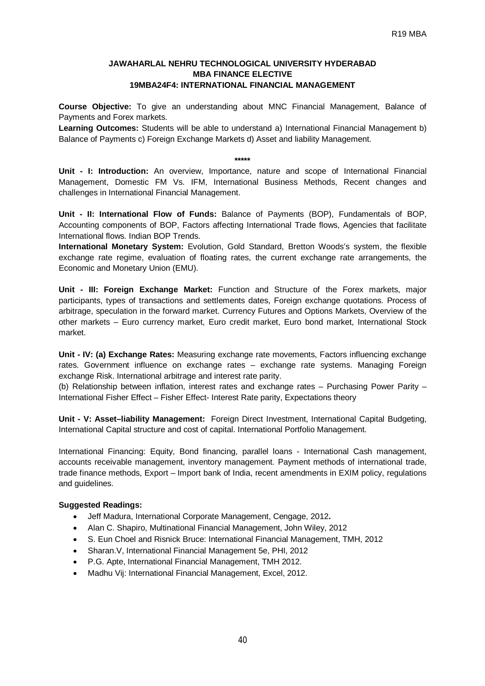## **JAWAHARLAL NEHRU TECHNOLOGICAL UNIVERSITY HYDERABAD MBA FINANCE ELECTIVE 19MBA24F4: INTERNATIONAL FINANCIAL MANAGEMENT**

**Course Objective:** To give an understanding about MNC Financial Management, Balance of Payments and Forex markets.

**Learning Outcomes:** Students will be able to understand a) International Financial Management b) Balance of Payments c) Foreign Exchange Markets d) Asset and liability Management.

**\*\*\*\*\***

**Unit - I: Introduction:** An overview, Importance, nature and scope of International Financial Management, Domestic FM Vs. IFM, International Business Methods, Recent changes and challenges in International Financial Management.

**Unit - II: International Flow of Funds:** Balance of Payments (BOP), Fundamentals of BOP, Accounting components of BOP, Factors affecting International Trade flows, Agencies that facilitate International flows. Indian BOP Trends.

**International Monetary System:** Evolution, Gold Standard, Bretton Woods's system, the flexible exchange rate regime, evaluation of floating rates, the current exchange rate arrangements, the Economic and Monetary Union (EMU).

**Unit - III: Foreign Exchange Market:** Function and Structure of the Forex markets, major participants, types of transactions and settlements dates, Foreign exchange quotations. Process of arbitrage, speculation in the forward market. Currency Futures and Options Markets, Overview of the other markets – Euro currency market, Euro credit market, Euro bond market, International Stock market.

**Unit - IV: (a) Exchange Rates:** Measuring exchange rate movements, Factors influencing exchange rates. Government influence on exchange rates – exchange rate systems. Managing Foreign exchange Risk. International arbitrage and interest rate parity.

(b) Relationship between inflation, interest rates and exchange rates – Purchasing Power Parity – International Fisher Effect – Fisher Effect- Interest Rate parity, Expectations theory

**Unit - V: Asset–liability Management:** Foreign Direct Investment, International Capital Budgeting, International Capital structure and cost of capital. International Portfolio Management.

International Financing: Equity, Bond financing, parallel loans - International Cash management, accounts receivable management, inventory management. Payment methods of international trade, trade finance methods, Export – Import bank of India, recent amendments in EXIM policy, regulations and guidelines.

- Jeff Madura, International Corporate Management, Cengage, 2012**.**
- Alan C. Shapiro, Multinational Financial Management, John Wiley, 2012
- S. Eun Choel and Risnick Bruce: International Financial Management, TMH, 2012
- Sharan.V, International Financial Management 5e, PHI, 2012
- P.G. Apte, International Financial Management, TMH 2012.
- Madhu Vij: International Financial Management, Excel, 2012.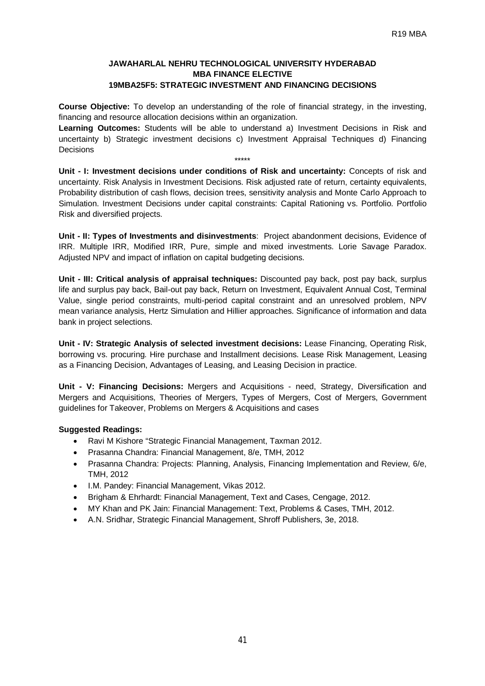# **JAWAHARLAL NEHRU TECHNOLOGICAL UNIVERSITY HYDERABAD MBA FINANCE ELECTIVE 19MBA25F5: STRATEGIC INVESTMENT AND FINANCING DECISIONS**

**Course Objective:** To develop an understanding of the role of financial strategy, in the investing, financing and resource allocation decisions within an organization.

**Learning Outcomes:** Students will be able to understand a) Investment Decisions in Risk and uncertainty b) Strategic investment decisions c) Investment Appraisal Techniques d) Financing **Decisions** 

\*\*\*\*\*

**Unit - I: Investment decisions under conditions of Risk and uncertainty:** Concepts of risk and uncertainty. Risk Analysis in Investment Decisions. Risk adjusted rate of return, certainty equivalents, Probability distribution of cash flows, decision trees, sensitivity analysis and Monte Carlo Approach to Simulation. Investment Decisions under capital constraints: Capital Rationing vs. Portfolio. Portfolio Risk and diversified projects.

**Unit - II: Types of Investments and disinvestments**: Project abandonment decisions, Evidence of IRR. Multiple IRR, Modified IRR, Pure, simple and mixed investments. Lorie Savage Paradox. Adjusted NPV and impact of inflation on capital budgeting decisions.

**Unit - III: Critical analysis of appraisal techniques:** Discounted pay back, post pay back, surplus life and surplus pay back, Bail-out pay back, Return on Investment, Equivalent Annual Cost, Terminal Value, single period constraints, multi-period capital constraint and an unresolved problem, NPV mean variance analysis, Hertz Simulation and Hillier approaches. Significance of information and data bank in project selections.

**Unit - IV: Strategic Analysis of selected investment decisions:** Lease Financing, Operating Risk, borrowing vs. procuring. Hire purchase and Installment decisions. Lease Risk Management, Leasing as a Financing Decision, Advantages of Leasing, and Leasing Decision in practice.

**Unit - V: Financing Decisions:** Mergers and Acquisitions - need, Strategy, Diversification and Mergers and Acquisitions, Theories of Mergers, Types of Mergers, Cost of Mergers, Government guidelines for Takeover, Problems on Mergers & Acquisitions and cases

- Ravi M Kishore "Strategic Financial Management, Taxman 2012.
- Prasanna Chandra: Financial Management, 8/e, TMH, 2012
- Prasanna Chandra: Projects: Planning, Analysis, Financing Implementation and Review, 6/e, TMH, 2012
- I.M. Pandey: Financial Management, Vikas 2012.
- Brigham & Ehrhardt: Financial Management, Text and Cases, Cengage, 2012.
- MY Khan and PK Jain: Financial Management: Text, Problems & Cases, TMH, 2012.
- A.N. Sridhar, Strategic Financial Management, Shroff Publishers, 3e, 2018.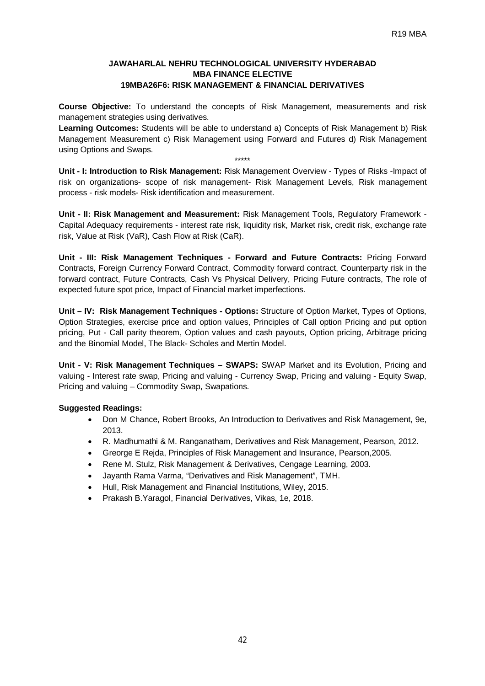# **JAWAHARLAL NEHRU TECHNOLOGICAL UNIVERSITY HYDERABAD MBA FINANCE ELECTIVE 19MBA26F6: RISK MANAGEMENT & FINANCIAL DERIVATIVES**

**Course Objective:** To understand the concepts of Risk Management, measurements and risk management strategies using derivatives.

**Learning Outcomes:** Students will be able to understand a) Concepts of Risk Management b) Risk Management Measurement c) Risk Management using Forward and Futures d) Risk Management using Options and Swaps.

**Unit - I: Introduction to Risk Management:** Risk Management Overview - Types of Risks -Impact of risk on organizations- scope of risk management- Risk Management Levels, Risk management process - risk models- Risk identification and measurement.

\*\*\*\*\*

**Unit - II: Risk Management and Measurement:** Risk Management Tools, Regulatory Framework - Capital Adequacy requirements - interest rate risk, liquidity risk, Market risk, credit risk, exchange rate risk, Value at Risk (VaR), Cash Flow at Risk (CaR).

**Unit - III: Risk Management Techniques - Forward and Future Contracts:** Pricing Forward Contracts, Foreign Currency Forward Contract, Commodity forward contract, Counterparty risk in the forward contract, Future Contracts, Cash Vs Physical Delivery, Pricing Future contracts, The role of expected future spot price, Impact of Financial market imperfections.

**Unit – IV: Risk Management Techniques - Options:** Structure of Option Market, Types of Options, Option Strategies, exercise price and option values, Principles of Call option Pricing and put option pricing, Put - Call parity theorem, Option values and cash payouts, Option pricing, Arbitrage pricing and the Binomial Model, The Black- Scholes and Mertin Model.

**Unit - V: Risk Management Techniques – SWAPS:** SWAP Market and its Evolution, Pricing and valuing - Interest rate swap, Pricing and valuing - Currency Swap, Pricing and valuing - Equity Swap, Pricing and valuing – Commodity Swap, Swapations.

- Don M Chance, Robert Brooks, An Introduction to Derivatives and Risk Management, 9e, 2013.
- R. Madhumathi & M. Ranganatham, Derivatives and Risk Management, Pearson, 2012.
- Greorge E Rejda, Principles of Risk Management and Insurance, Pearson,2005.
- Rene M. Stulz, Risk Management & Derivatives, Cengage Learning, 2003.
- Jayanth Rama Varma, "Derivatives and Risk Management", TMH.
- Hull, Risk Management and Financial Institutions, Wiley, 2015.
- Prakash B.Yaragol, Financial Derivatives, Vikas, 1e, 2018.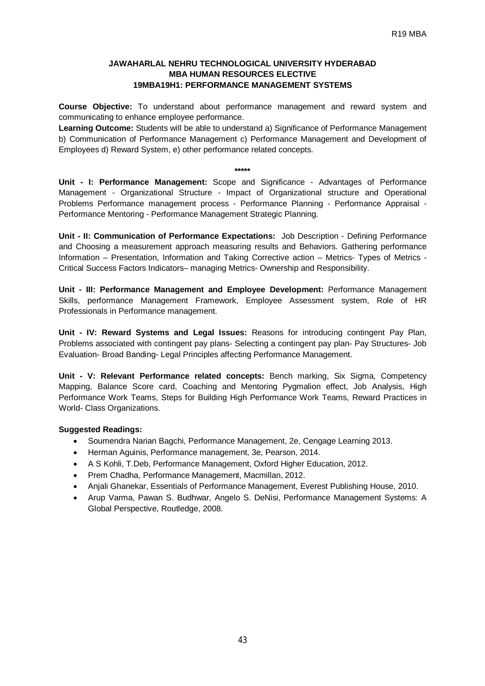# **JAWAHARLAL NEHRU TECHNOLOGICAL UNIVERSITY HYDERABAD MBA HUMAN RESOURCES ELECTIVE 19MBA19H1: PERFORMANCE MANAGEMENT SYSTEMS**

**Course Objective:** To understand about performance management and reward system and communicating to enhance employee performance.

**Learning Outcome:** Students will be able to understand a) Significance of Performance Management b) Communication of Performance Management c) Performance Management and Development of Employees d) Reward System, e) other performance related concepts.

#### **\*\*\*\*\***

**Unit - I: Performance Management:** Scope and Significance - Advantages of Performance Management - Organizational Structure - Impact of Organizational structure and Operational Problems Performance management process - Performance Planning - Performance Appraisal - Performance Mentoring - Performance Management Strategic Planning.

**Unit - II: Communication of Performance Expectations:** Job Description - Defining Performance and Choosing a measurement approach measuring results and Behaviors. Gathering performance Information – Presentation, Information and Taking Corrective action – Metrics- Types of Metrics - Critical Success Factors Indicators– managing Metrics- Ownership and Responsibility.

**Unit - III: Performance Management and Employee Development:** Performance Management Skills, performance Management Framework, Employee Assessment system, Role of HR Professionals in Performance management.

**Unit - IV: Reward Systems and Legal Issues:** Reasons for introducing contingent Pay Plan, Problems associated with contingent pay plans- Selecting a contingent pay plan- Pay Structures- Job Evaluation- Broad Banding- Legal Principles affecting Performance Management.

**Unit - V: Relevant Performance related concepts:** Bench marking, Six Sigma, Competency Mapping, Balance Score card, Coaching and Mentoring Pygmalion effect, Job Analysis, High Performance Work Teams, Steps for Building High Performance Work Teams, Reward Practices in World- Class Organizations.

- Soumendra Narian Bagchi, Performance Management, 2e, Cengage Learning 2013.
- Herman Aguinis, Performance management, 3e, Pearson, 2014.
- A S Kohli, T.Deb, Performance Management, Oxford Higher Education, 2012.
- Prem Chadha, Performance Management, Macmillan, 2012.
- Anjali Ghanekar, Essentials of Performance Management, Everest Publishing House, 2010.
- Arup Varma, Pawan S. Budhwar, Angelo S. DeNisi, Performance Management Systems: A Global Perspective, Routledge, 2008.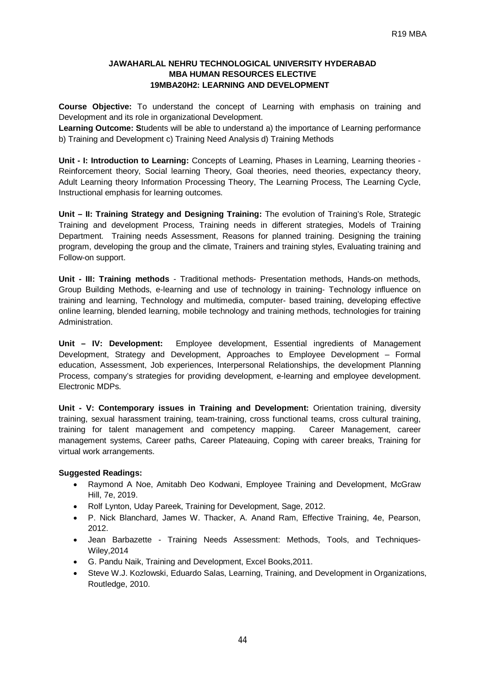# **JAWAHARLAL NEHRU TECHNOLOGICAL UNIVERSITY HYDERABAD MBA HUMAN RESOURCES ELECTIVE 19MBA20H2: LEARNING AND DEVELOPMENT**

**Course Objective:** To understand the concept of Learning with emphasis on training and Development and its role in organizational Development.

**Learning Outcome: S**tudents will be able to understand a) the importance of Learning performance b) Training and Development c) Training Need Analysis d) Training Methods

**Unit - I: Introduction to Learning:** Concepts of Learning, Phases in Learning, Learning theories - Reinforcement theory, Social learning Theory, Goal theories, need theories, expectancy theory, Adult Learning theory Information Processing Theory, The Learning Process, The Learning Cycle, Instructional emphasis for learning outcomes.

**Unit – II: Training Strategy and Designing Training:** The evolution of Training's Role, Strategic Training and development Process, Training needs in different strategies, Models of Training Department. Training needs Assessment, Reasons for planned training. Designing the training program, developing the group and the climate, Trainers and training styles, Evaluating training and Follow-on support.

**Unit - III: Training methods** - Traditional methods- Presentation methods, Hands-on methods, Group Building Methods, e-learning and use of technology in training- Technology influence on training and learning, Technology and multimedia, computer- based training, developing effective online learning, blended learning, mobile technology and training methods, technologies for training Administration.

**Unit – IV: Development:** Employee development, Essential ingredients of Management Development, Strategy and Development, Approaches to Employee Development – Formal education, Assessment, Job experiences, Interpersonal Relationships, the development Planning Process, company's strategies for providing development, e-learning and employee development. Electronic MDPs.

**Unit - V: Contemporary issues in Training and Development:** Orientation training, diversity training, sexual harassment training, team-training, cross functional teams, cross cultural training, training for talent management and competency mapping. Career Management, career management systems, Career paths, Career Plateauing, Coping with career breaks, Training for virtual work arrangements.

- Raymond A Noe, Amitabh Deo Kodwani, Employee Training and Development, McGraw Hill, 7e, 2019.
- Rolf Lynton, Uday Pareek, Training for Development, Sage, 2012.
- P. Nick Blanchard, James W. Thacker, A. Anand Ram, Effective Training, 4e, Pearson, 2012.
- Jean Barbazette Training Needs Assessment: Methods, Tools, and Techniques-Wiley,2014
- G. Pandu Naik, Training and Development, Excel Books,2011.
- Steve W.J. Kozlowski, Eduardo Salas, Learning, Training, and Development in Organizations, Routledge, 2010.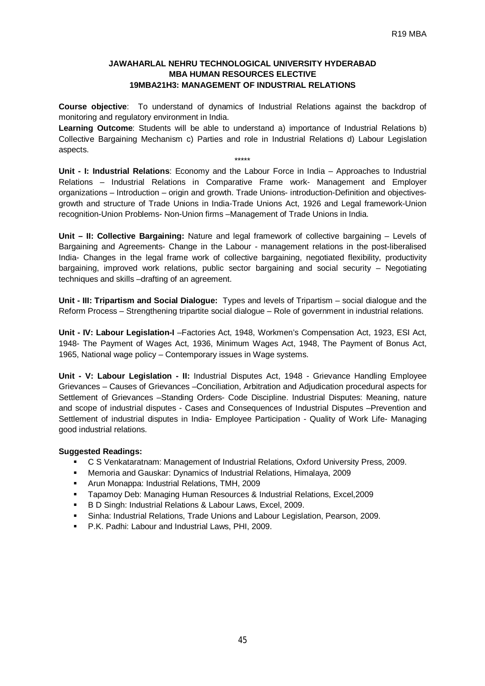# **JAWAHARLAL NEHRU TECHNOLOGICAL UNIVERSITY HYDERABAD MBA HUMAN RESOURCES ELECTIVE 19MBA21H3: MANAGEMENT OF INDUSTRIAL RELATIONS**

**Course objective**: To understand of dynamics of Industrial Relations against the backdrop of monitoring and regulatory environment in India.

**Learning Outcome**: Students will be able to understand a) importance of Industrial Relations b) Collective Bargaining Mechanism c) Parties and role in Industrial Relations d) Labour Legislation aspects.

\*\*\*\*\*

**Unit - I: Industrial Relations**: Economy and the Labour Force in India – Approaches to Industrial Relations – Industrial Relations in Comparative Frame work- Management and Employer organizations – Introduction – origin and growth. Trade Unions- introduction-Definition and objectivesgrowth and structure of Trade Unions in India-Trade Unions Act, 1926 and Legal framework-Union recognition-Union Problems- Non-Union firms –Management of Trade Unions in India.

**Unit – II: Collective Bargaining:** Nature and legal framework of collective bargaining – Levels of Bargaining and Agreements- Change in the Labour - management relations in the post-liberalised India- Changes in the legal frame work of collective bargaining, negotiated flexibility, productivity bargaining, improved work relations, public sector bargaining and social security – Negotiating techniques and skills –drafting of an agreement.

**Unit - III: Tripartism and Social Dialogue:** Types and levels of Tripartism – social dialogue and the Reform Process – Strengthening tripartite social dialogue – Role of government in industrial relations.

**Unit - IV: Labour Legislation-I** –Factories Act, 1948, Workmen's Compensation Act, 1923, ESI Act, 1948- The Payment of Wages Act, 1936, Minimum Wages Act, 1948, The Payment of Bonus Act, 1965, National wage policy – Contemporary issues in Wage systems.

**Unit - V: Labour Legislation - II:** Industrial Disputes Act, 1948 - Grievance Handling Employee Grievances – Causes of Grievances –Conciliation, Arbitration and Adjudication procedural aspects for Settlement of Grievances –Standing Orders- Code Discipline. Industrial Disputes: Meaning, nature and scope of industrial disputes - Cases and Consequences of Industrial Disputes –Prevention and Settlement of industrial disputes in India- Employee Participation - Quality of Work Life- Managing good industrial relations.

- C S Venkataratnam: Management of Industrial Relations, Oxford University Press, 2009.
- Memoria and Gauskar: Dynamics of Industrial Relations, Himalaya, 2009
- Arun Monappa: Industrial Relations, TMH, 2009
- Tapamoy Deb: Managing Human Resources & Industrial Relations, Excel,2009
- B D Singh: Industrial Relations & Labour Laws, Excel, 2009.
- Sinha: Industrial Relations, Trade Unions and Labour Legislation, Pearson, 2009.
- P.K. Padhi: Labour and Industrial Laws, PHI, 2009.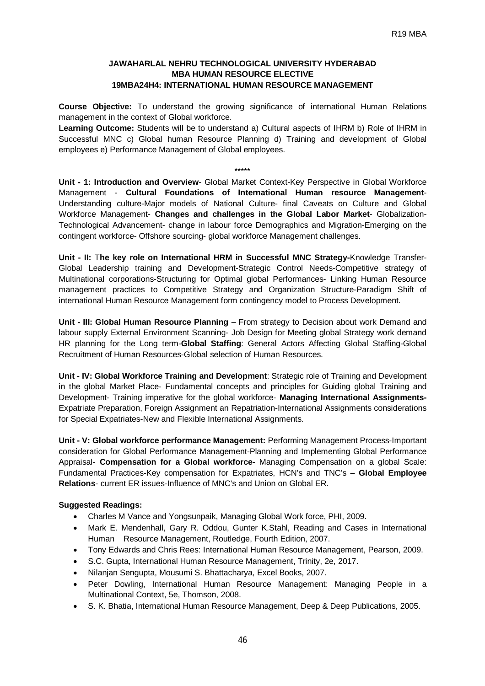# **JAWAHARLAL NEHRU TECHNOLOGICAL UNIVERSITY HYDERABAD MBA HUMAN RESOURCE ELECTIVE 19MBA24H4: INTERNATIONAL HUMAN RESOURCE MANAGEMENT**

**Course Objective:** To understand the growing significance of international Human Relations management in the context of Global workforce.

**Learning Outcome:** Students will be to understand a) Cultural aspects of IHRM b) Role of IHRM in Successful MNC c) Global human Resource Planning d) Training and development of Global employees e) Performance Management of Global employees.

#### \*\*\*\*\*

**Unit - 1: Introduction and Overview**- Global Market Context-Key Perspective in Global Workforce Management - **Cultural Foundations of International Human resource Management**-Understanding culture-Major models of National Culture- final Caveats on Culture and Global Workforce Management- **Changes and challenges in the Global Labor Market**- Globalization-Technological Advancement- change in labour force Demographics and Migration-Emerging on the contingent workforce- Offshore sourcing- global workforce Management challenges.

**Unit - II:** T**he key role on International HRM in Successful MNC Strategy-**Knowledge Transfer-Global Leadership training and Development-Strategic Control Needs-Competitive strategy of Multinational corporations-Structuring for Optimal global Performances- Linking Human Resource management practices to Competitive Strategy and Organization Structure-Paradigm Shift of international Human Resource Management form contingency model to Process Development.

**Unit - III: Global Human Resource Planning** – From strategy to Decision about work Demand and labour supply External Environment Scanning- Job Design for Meeting global Strategy work demand HR planning for the Long term-**Global Staffing**: General Actors Affecting Global Staffing-Global Recruitment of Human Resources-Global selection of Human Resources.

**Unit - IV: Global Workforce Training and Development**: Strategic role of Training and Development in the global Market Place- Fundamental concepts and principles for Guiding global Training and Development- Training imperative for the global workforce- **Managing International Assignments-**Expatriate Preparation, Foreign Assignment an Repatriation-International Assignments considerations for Special Expatriates-New and Flexible International Assignments.

**Unit - V: Global workforce performance Management:** Performing Management Process-Important consideration for Global Performance Management-Planning and Implementing Global Performance Appraisal- **Compensation for a Global workforce-** Managing Compensation on a global Scale: Fundamental Practices-Key compensation for Expatriates, HCN's and TNC's – **Global Employee Relations**- current ER issues-Influence of MNC's and Union on Global ER.

- Charles M Vance and Yongsunpaik, Managing Global Work force, PHI, 2009.
- Mark E. Mendenhall, Gary R. Oddou, Gunter K.Stahl, Reading and Cases in International Human Resource Management, Routledge, Fourth Edition, 2007.
- Tony Edwards and Chris Rees: International Human Resource Management, Pearson, 2009.
- S.C. Gupta, International Human Resource Management, Trinity, 2e, 2017.
- Nilanjan Sengupta, Mousumi S. Bhattacharya, Excel Books, 2007.
- Peter Dowling, International Human Resource Management: Managing People in a Multinational Context, 5e, Thomson, 2008.
- S. K. Bhatia, International Human Resource Management, Deep & Deep Publications, 2005.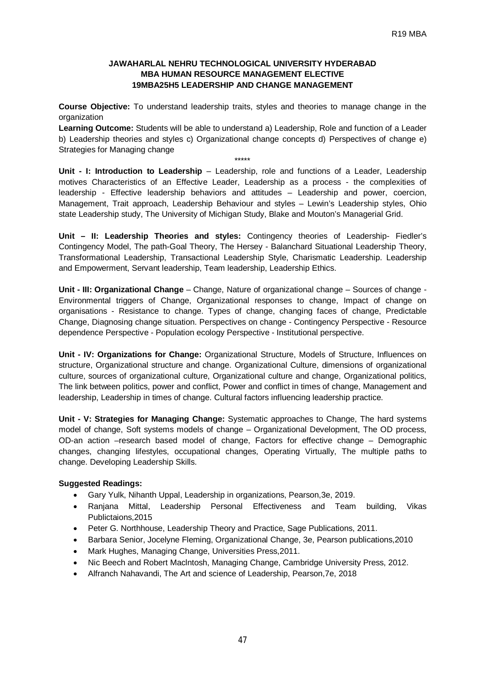# **JAWAHARLAL NEHRU TECHNOLOGICAL UNIVERSITY HYDERABAD MBA HUMAN RESOURCE MANAGEMENT ELECTIVE 19MBA25H5 LEADERSHIP AND CHANGE MANAGEMENT**

**Course Objective:** To understand leadership traits, styles and theories to manage change in the organization

**Learning Outcome:** Students will be able to understand a) Leadership, Role and function of a Leader b) Leadership theories and styles c) Organizational change concepts d) Perspectives of change e) Strategies for Managing change

\*\*\*\*\*

**Unit - I: Introduction to Leadership** – Leadership, role and functions of a Leader, Leadership motives Characteristics of an Effective Leader, Leadership as a process - the complexities of leadership - Effective leadership behaviors and attitudes – Leadership and power, coercion, Management, Trait approach, Leadership Behaviour and styles – Lewin's Leadership styles, Ohio state Leadership study, The University of Michigan Study, Blake and Mouton's Managerial Grid.

**Unit – II: Leadership Theories and styles:** Contingency theories of Leadership- Fiedler's Contingency Model, The path-Goal Theory, The Hersey - Balanchard Situational Leadership Theory, Transformational Leadership, Transactional Leadership Style, Charismatic Leadership. Leadership and Empowerment, Servant leadership, Team leadership, Leadership Ethics.

**Unit - III: Organizational Change** – Change, Nature of organizational change – Sources of change - Environmental triggers of Change, Organizational responses to change, Impact of change on organisations - Resistance to change. Types of change, changing faces of change, Predictable Change, Diagnosing change situation. Perspectives on change - Contingency Perspective - Resource dependence Perspective - Population ecology Perspective - Institutional perspective.

**Unit - IV: Organizations for Change:** Organizational Structure, Models of Structure, Influences on structure, Organizational structure and change. Organizational Culture, dimensions of organizational culture, sources of organizational culture, Organizational culture and change, Organizational politics, The link between politics, power and conflict, Power and conflict in times of change, Management and leadership, Leadership in times of change. Cultural factors influencing leadership practice.

**Unit - V: Strategies for Managing Change:** Systematic approaches to Change, The hard systems model of change, Soft systems models of change – Organizational Development, The OD process, OD-an action –research based model of change, Factors for effective change – Demographic changes, changing lifestyles, occupational changes, Operating Virtually, The multiple paths to change. Developing Leadership Skills.

- Gary Yulk, Nihanth Uppal, Leadership in organizations, Pearson,3e, 2019.
- Ranjana Mittal, Leadership Personal Effectiveness and Team building, Vikas Publictaions,2015
- Peter G. Northhouse, Leadership Theory and Practice, Sage Publications, 2011.
- Barbara Senior, Jocelyne Fleming, Organizational Change, 3e, Pearson publications,2010
- Mark Hughes, Managing Change, Universities Press,2011.
- Nic Beech and Robert Maclntosh, Managing Change, Cambridge University Press, 2012.
- Alfranch Nahavandi, The Art and science of Leadership, Pearson,7e, 2018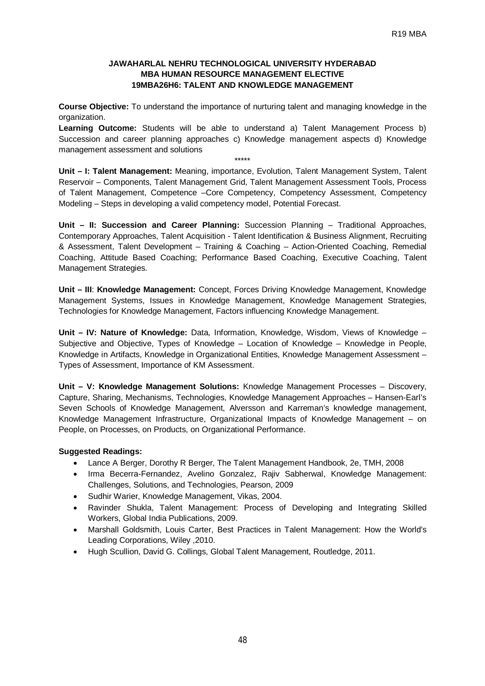# **JAWAHARLAL NEHRU TECHNOLOGICAL UNIVERSITY HYDERABAD MBA HUMAN RESOURCE MANAGEMENT ELECTIVE 19MBA26H6: TALENT AND KNOWLEDGE MANAGEMENT**

**Course Objective:** To understand the importance of nurturing talent and managing knowledge in the organization.

**Learning Outcome:** Students will be able to understand a) Talent Management Process b) Succession and career planning approaches c) Knowledge management aspects d) Knowledge management assessment and solutions

\*\*\*\*\*

**Unit – I: Talent Management:** Meaning, importance, Evolution, Talent Management System, Talent Reservoir – Components, Talent Management Grid, Talent Management Assessment Tools, Process of Talent Management, Competence –Core Competency, Competency Assessment, Competency Modeling – Steps in developing a valid competency model, Potential Forecast.

**Unit – II: Succession and Career Planning:** Succession Planning – Traditional Approaches, Contemporary Approaches, Talent Acquisition - Talent Identification & Business Alignment, Recruiting & Assessment, Talent Development – Training & Coaching – Action-Oriented Coaching, Remedial Coaching, Attitude Based Coaching; Performance Based Coaching, Executive Coaching, Talent Management Strategies.

**Unit – III**: **Knowledge Management:** Concept, Forces Driving Knowledge Management, Knowledge Management Systems, Issues in Knowledge Management, Knowledge Management Strategies, Technologies for Knowledge Management, Factors influencing Knowledge Management.

**Unit – IV: Nature of Knowledge:** Data, Information, Knowledge, Wisdom, Views of Knowledge – Subjective and Objective, Types of Knowledge – Location of Knowledge – Knowledge in People, Knowledge in Artifacts, Knowledge in Organizational Entities, Knowledge Management Assessment – Types of Assessment, Importance of KM Assessment.

**Unit – V: Knowledge Management Solutions:** Knowledge Management Processes – Discovery, Capture, Sharing, Mechanisms, Technologies, Knowledge Management Approaches – Hansen-Earl's Seven Schools of Knowledge Management, Alversson and Karreman's knowledge management, Knowledge Management Infrastructure, Organizational Impacts of Knowledge Management – on People, on Processes, on Products, on Organizational Performance.

- Lance A Berger, Dorothy R Berger, The Talent Management Handbook, 2e, TMH, 2008
- Irma Becerra-Fernandez, Avelino Gonzalez, Rajiv Sabherwal, Knowledge Management: Challenges, Solutions, and Technologies, Pearson, 2009
- Sudhir Warier, Knowledge Management, Vikas, 2004.
- Ravinder Shukla, Talent Management: Process of Developing and Integrating Skilled Workers, Global India Publications, 2009.
- Marshall Goldsmith, Louis Carter, Best Practices in Talent Management: How the World's Leading Corporations, Wiley ,2010.
- Hugh Scullion, David G. Collings, Global Talent Management, Routledge, 2011.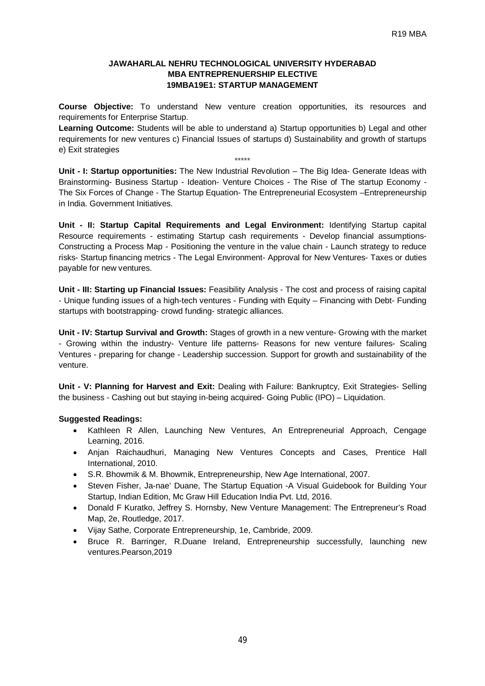#### **JAWAHARLAL NEHRU TECHNOLOGICAL UNIVERSITY HYDERABAD MBA ENTREPRENUERSHIP ELECTIVE 19MBA19E1: STARTUP MANAGEMENT**

**Course Objective:** To understand New venture creation opportunities, its resources and requirements for Enterprise Startup.

**Learning Outcome:** Students will be able to understand a) Startup opportunities b) Legal and other requirements for new ventures c) Financial Issues of startups d) Sustainability and growth of startups e) Exit strategies

\*\*\*\*\*

**Unit - I: Startup opportunities:** The New Industrial Revolution – The Big Idea- Generate Ideas with Brainstorming- Business Startup - Ideation- Venture Choices - The Rise of The startup Economy - The Six Forces of Change - The Startup Equation- The Entrepreneurial Ecosystem –Entrepreneurship in India. Government Initiatives.

**Unit - II: Startup Capital Requirements and Legal Environment:** Identifying Startup capital Resource requirements - estimating Startup cash requirements - Develop financial assumptions-Constructing a Process Map - Positioning the venture in the value chain - Launch strategy to reduce risks- Startup financing metrics - The Legal Environment- Approval for New Ventures- Taxes or duties payable for new ventures.

**Unit - III: Starting up Financial Issues:** Feasibility Analysis - The cost and process of raising capital - Unique funding issues of a high-tech ventures - Funding with Equity – Financing with Debt- Funding startups with bootstrapping- crowd funding- strategic alliances.

**Unit - IV: Startup Survival and Growth:** Stages of growth in a new venture- Growing with the market - Growing within the industry- Venture life patterns- Reasons for new venture failures- Scaling Ventures - preparing for change - Leadership succession. Support for growth and sustainability of the venture.

**Unit - V: Planning for Harvest and Exit:** Dealing with Failure: Bankruptcy, Exit Strategies- Selling the business - Cashing out but staying in-being acquired- Going Public (IPO) – Liquidation.

- Kathleen R Allen, Launching New Ventures, An Entrepreneurial Approach, Cengage Learning, 2016.
- Anian Raichaudhuri, Managing New Ventures Concepts and Cases, Prentice Hall International, 2010.
- S.R. Bhowmik & M. Bhowmik, Entrepreneurship, New Age International, 2007.
- Steven Fisher, Ja-nae' Duane, The Startup Equation -A Visual Guidebook for Building Your Startup, Indian Edition, Mc Graw Hill Education India Pvt. Ltd, 2016.
- Donald F Kuratko, Jeffrey S. Hornsby, New Venture Management: The Entrepreneur's Road Map, 2e, Routledge, 2017.
- Vijay Sathe, Corporate Entrepreneurship, 1e, Cambride, 2009.
- Bruce R. Barringer, R.Duane Ireland, Entrepreneurship successfully, launching new ventures.Pearson,2019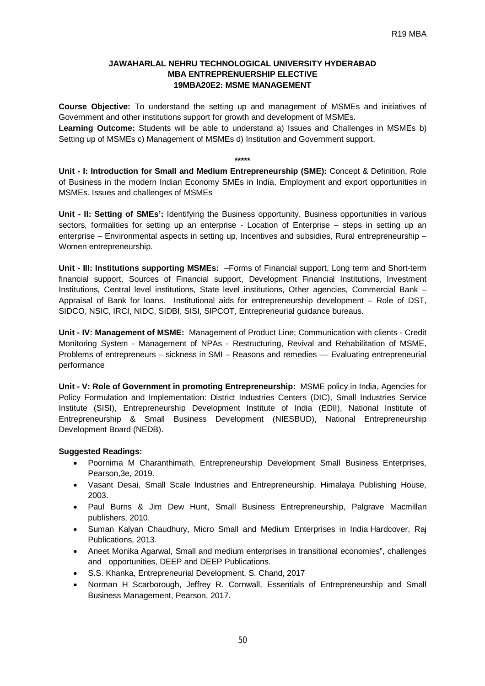#### **JAWAHARLAL NEHRU TECHNOLOGICAL UNIVERSITY HYDERABAD MBA ENTREPRENUERSHIP ELECTIVE 19MBA20E2: MSME MANAGEMENT**

**Course Objective:** To understand the setting up and management of MSMEs and initiatives of Government and other institutions support for growth and development of MSMEs.

**Learning Outcome:** Students will be able to understand a) Issues and Challenges in MSMEs b) Setting up of MSMEs c) Management of MSMEs d) Institution and Government support.

**\*\*\*\*\***

**Unit - I: Introduction for Small and Medium Entrepreneurship (SME):** Concept & Definition, Role of Business in the modern Indian Economy SMEs in India, Employment and export opportunities in MSMEs. Issues and challenges of MSMEs

**Unit - II: Setting of SMEs':** Identifying the Business opportunity, Business opportunities in various sectors, formalities for setting up an enterprise - Location of Enterprise – steps in setting up an enterprise – Environmental aspects in setting up, Incentives and subsidies, Rural entrepreneurship – Women entrepreneurship.

**Unit - III: Institutions supporting MSMEs:** –Forms of Financial support, Long term and Short-term financial support, Sources of Financial support, Development Financial Institutions, Investment Institutions, Central level institutions, State level institutions, Other agencies, Commercial Bank – Appraisal of Bank for loans. Institutional aids for entrepreneurship development – Role of DST, SIDCO, NSIC, IRCI, NIDC, SIDBI, SISI, SIPCOT, Entrepreneurial guidance bureaus.

**Unit - IV: Management of MSME:** Management of Product Line; Communication with clients - Credit Monitoring System - Management of NPAs - Restructuring, Revival and Rehabilitation of MSME, Problems of entrepreneurs – sickness in SMI – Reasons and remedies –– Evaluating entrepreneurial performance

**Unit - V: Role of Government in promoting Entrepreneurship:** MSME policy in India, Agencies for Policy Formulation and Implementation: District Industries Centers (DIC), Small Industries Service Institute (SISI), Entrepreneurship Development Institute of India (EDII), National Institute of Entrepreneurship & Small Business Development (NIESBUD), National Entrepreneurship Development Board (NEDB).

- Poornima M Charanthimath, Entrepreneurship Development Small Business Enterprises, Pearson,3e, 2019.
- Vasant Desai, Small Scale Industries and Entrepreneurship, Himalaya Publishing House, 2003.
- Paul Burns & Jim Dew Hunt, Small Business Entrepreneurship, Palgrave Macmillan publishers, 2010.
- Suman Kalyan Chaudhury, Micro Small and Medium Enterprises in India Hardcover, Raj Publications, 2013.
- Aneet Monika Agarwal, Small and medium enterprises in transitional economies", challenges and opportunities, DEEP and DEEP Publications.
- S.S. Khanka, Entrepreneurial Development, S. Chand, 2017
- Norman H Scarborough, Jeffrey R. Cornwall, Essentials of Entrepreneurship and Small Business Management, Pearson, 2017.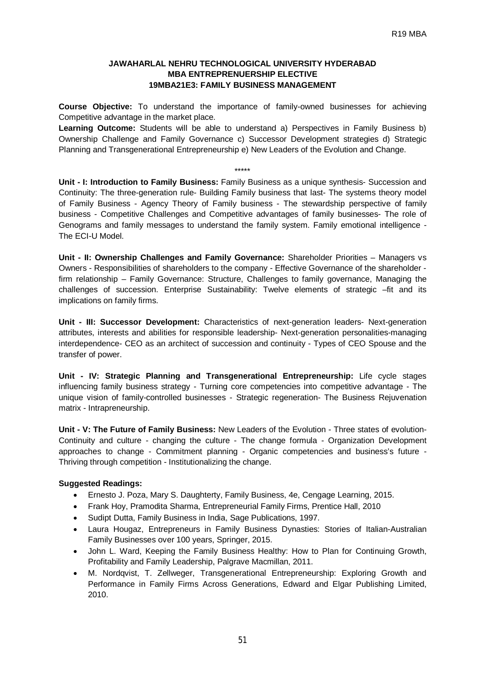# **JAWAHARLAL NEHRU TECHNOLOGICAL UNIVERSITY HYDERABAD MBA ENTREPRENUERSHIP ELECTIVE 19MBA21E3: FAMILY BUSINESS MANAGEMENT**

**Course Objective:** To understand the importance of family-owned businesses for achieving Competitive advantage in the market place.

**Learning Outcome:** Students will be able to understand a) Perspectives in Family Business b) Ownership Challenge and Family Governance c) Successor Development strategies d) Strategic Planning and Transgenerational Entrepreneurship e) New Leaders of the Evolution and Change.

#### \*\*\*\*\*

**Unit - I: Introduction to Family Business:** Family Business as a unique synthesis- Succession and Continuity: The three-generation rule- Building Family business that last- The systems theory model of Family Business - Agency Theory of Family business - The stewardship perspective of family business - Competitive Challenges and Competitive advantages of family businesses- The role of Genograms and family messages to understand the family system. Family emotional intelligence - The ECI-U Model.

**Unit - II: Ownership Challenges and Family Governance:** Shareholder Priorities – Managers vs Owners - Responsibilities of shareholders to the company - Effective Governance of the shareholder firm relationship – Family Governance: Structure, Challenges to family governance, Managing the challenges of succession. Enterprise Sustainability: Twelve elements of strategic -fit and its implications on family firms.

**Unit - III: Successor Development:** Characteristics of next-generation leaders- Next-generation attributes, interests and abilities for responsible leadership- Next-generation personalities-managing interdependence- CEO as an architect of succession and continuity - Types of CEO Spouse and the transfer of power.

**Unit - IV: Strategic Planning and Transgenerational Entrepreneurship:** Life cycle stages influencing family business strategy - Turning core competencies into competitive advantage - The unique vision of family-controlled businesses - Strategic regeneration- The Business Rejuvenation matrix - Intrapreneurship.

**Unit - V: The Future of Family Business:** New Leaders of the Evolution - Three states of evolution-Continuity and culture - changing the culture - The change formula - Organization Development approaches to change - Commitment planning - Organic competencies and business's future - Thriving through competition - Institutionalizing the change.

- Ernesto J. Poza, Mary S. Daughterty, Family Business, 4e, Cengage Learning, 2015.
- Frank Hoy, Pramodita Sharma, Entrepreneurial Family Firms, Prentice Hall, 2010
- Sudipt Dutta, Family Business in India, Sage Publications, 1997.
- Laura Hougaz, Entrepreneurs in Family Business Dynasties: Stories of Italian-Australian Family Businesses over 100 years, Springer, 2015.
- John L. Ward, Keeping the Family Business Healthy: How to Plan for Continuing Growth, Profitability and Family Leadership, Palgrave Macmillan, 2011.
- M. Nordqvist, T. Zellweger, Transgenerational Entrepreneurship: Exploring Growth and Performance in Family Firms Across Generations, Edward and Elgar Publishing Limited, 2010.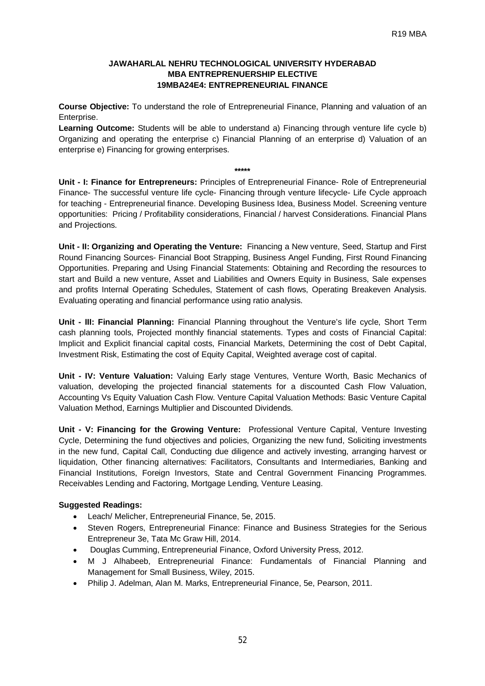# **JAWAHARLAL NEHRU TECHNOLOGICAL UNIVERSITY HYDERABAD MBA ENTREPRENUERSHIP ELECTIVE 19MBA24E4: ENTREPRENEURIAL FINANCE**

**Course Objective:** To understand the role of Entrepreneurial Finance, Planning and valuation of an Enterprise.

**Learning Outcome:** Students will be able to understand a) Financing through venture life cycle b) Organizing and operating the enterprise c) Financial Planning of an enterprise d) Valuation of an enterprise e) Financing for growing enterprises.

#### **\*\*\*\*\***

**Unit - I: Finance for Entrepreneurs:** Principles of Entrepreneurial Finance- Role of Entrepreneurial Finance- The successful venture life cycle- Financing through venture lifecycle- Life Cycle approach for teaching - Entrepreneurial finance. Developing Business Idea, Business Model. Screening venture opportunities: Pricing / Profitability considerations, Financial / harvest Considerations. Financial Plans and Projections.

**Unit - II: Organizing and Operating the Venture:** Financing a New venture, Seed, Startup and First Round Financing Sources- Financial Boot Strapping, Business Angel Funding, First Round Financing Opportunities. Preparing and Using Financial Statements: Obtaining and Recording the resources to start and Build a new venture, Asset and Liabilities and Owners Equity in Business, Sale expenses and profits Internal Operating Schedules, Statement of cash flows, Operating Breakeven Analysis. Evaluating operating and financial performance using ratio analysis.

**Unit - III: Financial Planning:** Financial Planning throughout the Venture's life cycle, Short Term cash planning tools, Projected monthly financial statements. Types and costs of Financial Capital: Implicit and Explicit financial capital costs, Financial Markets, Determining the cost of Debt Capital, Investment Risk, Estimating the cost of Equity Capital, Weighted average cost of capital.

**Unit - IV: Venture Valuation:** Valuing Early stage Ventures, Venture Worth, Basic Mechanics of valuation, developing the projected financial statements for a discounted Cash Flow Valuation, Accounting Vs Equity Valuation Cash Flow. Venture Capital Valuation Methods: Basic Venture Capital Valuation Method, Earnings Multiplier and Discounted Dividends.

**Unit - V: Financing for the Growing Venture:** Professional Venture Capital, Venture Investing Cycle, Determining the fund objectives and policies, Organizing the new fund, Soliciting investments in the new fund, Capital Call, Conducting due diligence and actively investing, arranging harvest or liquidation, Other financing alternatives: Facilitators, Consultants and Intermediaries, Banking and Financial Institutions, Foreign Investors, State and Central Government Financing Programmes. Receivables Lending and Factoring, Mortgage Lending, Venture Leasing.

- Leach/ Melicher, Entrepreneurial Finance, 5e, 2015.
- Steven Rogers, Entrepreneurial Finance: Finance and Business Strategies for the Serious Entrepreneur 3e, Tata Mc Graw Hill, 2014.
- Douglas Cumming, Entrepreneurial Finance, Oxford University Press, 2012.
- M J Alhabeeb, Entrepreneurial Finance: Fundamentals of Financial Planning and Management for Small Business, Wiley, 2015.
- Philip J. Adelman, Alan M. Marks, Entrepreneurial Finance, 5e, Pearson, 2011.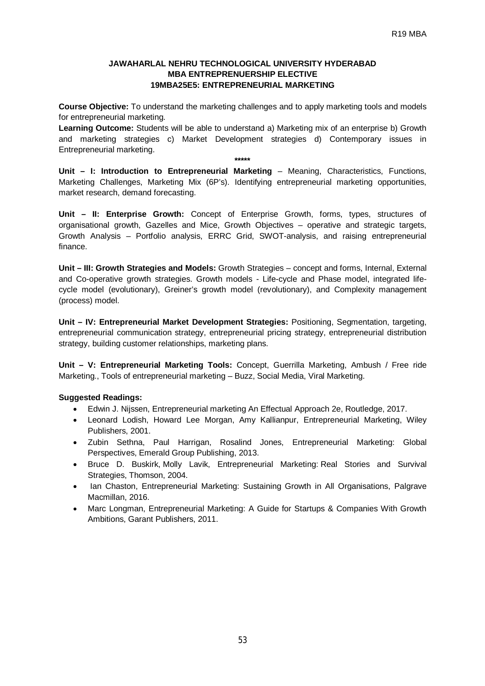## **JAWAHARLAL NEHRU TECHNOLOGICAL UNIVERSITY HYDERABAD MBA ENTREPRENUERSHIP ELECTIVE 19MBA25E5: ENTREPRENEURIAL MARKETING**

**Course Objective:** To understand the marketing challenges and to apply marketing tools and models for entrepreneurial marketing.

**Learning Outcome:** Students will be able to understand a) Marketing mix of an enterprise b) Growth and marketing strategies c) Market Development strategies d) Contemporary issues in Entrepreneurial marketing.

**\*\*\*\*\* Unit – I: Introduction to Entrepreneurial Marketing** – Meaning, Characteristics, Functions, Marketing Challenges, Marketing Mix (6P's). Identifying entrepreneurial marketing opportunities, market research, demand forecasting.

**Unit – II: Enterprise Growth:** Concept of Enterprise Growth, forms, types, structures of organisational growth, Gazelles and Mice, Growth Objectives – operative and strategic targets, Growth Analysis – Portfolio analysis, ERRC Grid, SWOT-analysis, and raising entrepreneurial finance.

**Unit – III: Growth Strategies and Models:** Growth Strategies – concept and forms, Internal, External and Co-operative growth strategies. Growth models - Life-cycle and Phase model, integrated lifecycle model (evolutionary), Greiner's growth model (revolutionary), and Complexity management (process) model.

**Unit – IV: Entrepreneurial Market Development Strategies:** Positioning, Segmentation, targeting, entrepreneurial communication strategy, entrepreneurial pricing strategy, entrepreneurial distribution strategy, building customer relationships, marketing plans.

**Unit – V: Entrepreneurial Marketing Tools:** Concept, Guerrilla Marketing, Ambush / Free ride Marketing., Tools of entrepreneurial marketing – Buzz, Social Media, Viral Marketing.

- Edwin J. Nijssen, Entrepreneurial marketing An Effectual Approach 2e, Routledge, 2017.
- Leonard Lodish, Howard Lee Morgan, Amy Kallianpur, Entrepreneurial Marketing, Wiley Publishers, 2001.
- Zubin Sethna, Paul Harrigan, Rosalind Jones, Entrepreneurial Marketing: Global Perspectives, Emerald Group Publishing, 2013.
- Bruce D. Buskirk, Molly Lavik, Entrepreneurial Marketing: Real Stories and Survival Strategies, Thomson, 2004.
- Ian Chaston, Entrepreneurial Marketing: Sustaining Growth in All Organisations, Palgrave Macmillan, 2016.
- Marc Longman, Entrepreneurial Marketing: A Guide for Startups & Companies With Growth Ambitions, Garant Publishers, 2011.